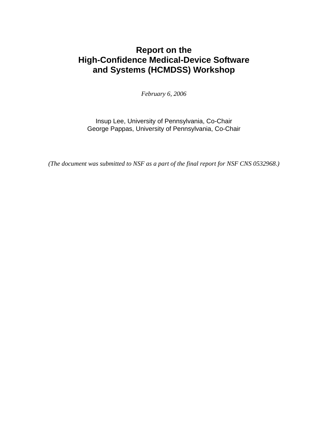### **Report on the High-Confidence Medical-Device Software and Systems (HCMDSS) Workshop**

*February 6, 2006* 

Insup Lee, University of Pennsylvania, Co-Chair George Pappas, University of Pennsylvania, Co-Chair

*(The document was submitted to NSF as a part of the final report for NSF CNS 0532968.)*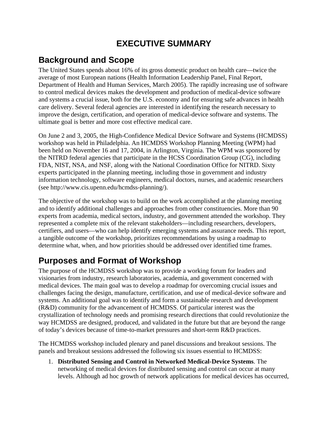## **EXECUTIVE SUMMARY**

## **Background and Scope**

The United States spends about 16% of its gross domestic product on health care—twice the average of most European nations (Health Information Leadership Panel, Final Report, Department of Health and Human Services, March 2005). The rapidly increasing use of software to control medical devices makes the development and production of medical-device software and systems a crucial issue, both for the U.S. economy and for ensuring safe advances in health care delivery. Several federal agencies are interested in identifying the research necessary to improve the design, certification, and operation of medical-device software and systems. The ultimate goal is better and more cost effective medical care.

On June 2 and 3, 2005, the High-Confidence Medical Device Software and Systems (HCMDSS) workshop was held in Philadelphia. An HCMDSS Workshop Planning Meeting (WPM) had been held on November 16 and 17, 2004, in Arlington, Virginia. The WPM was sponsored by the NITRD federal agencies that participate in the HCSS Coordination Group (CG), including FDA, NIST, NSA, and NSF, along with the National Coordination Office for NITRD. Sixty experts participated in the planning meeting, including those in government and industry information technology, software engineers, medical doctors, nurses, and academic researchers (see http://www.cis.upenn.edu/hcmdss-planning/).

The objective of the workshop was to build on the work accomplished at the planning meeting and to identify additional challenges and approaches from other constituencies. More than 90 experts from academia, medical sectors, industry, and government attended the workshop. They represented a complete mix of the relevant stakeholders—including researchers, developers, certifiers, and users—who can help identify emerging systems and assurance needs. This report, a tangible outcome of the workshop, prioritizes recommendations by using a roadmap to determine what, when, and how priorities should be addressed over identified time frames.

## **Purposes and Format of Workshop**

The purpose of the HCMDSS workshop was to provide a working forum for leaders and visionaries from industry, research laboratories, academia, and government concerned with medical devices. The main goal was to develop a roadmap for overcoming crucial issues and challenges facing the design, manufacture, certification, and use of medical-device software and systems. An additional goal was to identify and form a sustainable research and development (R&D) community for the advancement of HCMDSS. Of particular interest was the crystallization of technology needs and promising research directions that could revolutionize the way HCMDSS are designed, produced, and validated in the future but that are beyond the range of today's devices because of time-to-market pressures and short-term R&D practices.

The HCMDSS workshop included plenary and panel discussions and breakout sessions. The panels and breakout sessions addressed the following six issues essential to HCMDSS:

1. **Distributed Sensing and Control in Networked Medical-Device Systems**. The networking of medical devices for distributed sensing and control can occur at many levels. Although ad hoc growth of network applications for medical devices has occurred,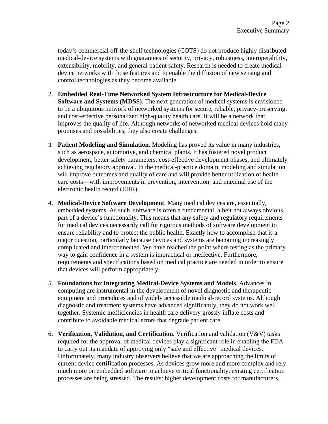today's commercial off-the-shelf technologies (COTS) do not produce highly distributed medical-device systems with guarantees of security, privacy, robustness, interoperability, extensibility, mobility, and general patient safety. Research is needed to create medicaldevice networks with those features and to enable the diffusion of new sensing and control technologies as they become available.

- 2. **Embedded Real-Time Networked System Infrastructure for Medical-Device Software and Systems (MDSS)**. The next generation of medical systems is envisioned to be a ubiquitous network of networked systems for secure, reliable, privacy-preserving, and cost-effective personalized high-quality health care. It will be a network that improves the quality of life. Although networks of networked medical devices hold many promises and possibilities, they also create challenges.
- 3. **Patient Modeling and Simulation**. Modeling has proved its value in many industries, such as aerospace, automotive, and chemical plants. It has fostered novel product development, better safety parameters, cost-effective development phases, and ultimately achieving regulatory approval. In the medical-practice domain, modeling and simulation will improve outcomes and quality of care and will provide better utilization of health care costs—with improvements in prevention, intervention, and maximal use of the electronic health record (EHR).
- 4. **Medical-Device Software Development**. Many medical devices are, essentially, embedded systems. As such, software is often a fundamental, albeit not always obvious, part of a device's functionality. This means that any safety and regulatory requirements for medical devices necessarily call for rigorous methods of software development to ensure reliability and to protect the public health. Exactly how to accomplish that is a major question, particularly because devices and systems are becoming increasingly complicated and interconnected. We have reached the point where testing as the primary way to gain confidence in a system is impractical or ineffective. Furthermore, requirements and specifications based on medical practice are needed in order to ensure that devices will perform appropriately.
- 5. **Foundations for Integrating Medical-Device Systems and Models**. Advances in computing are instrumental in the development of novel diagnostic and therapeutic equipment and procedures and of widely accessible medical-record systems. Although diagnostic and treatment systems have advanced significantly, they do not work well together. Systemic inefficiencies in health care delivery grossly inflate costs and contribute to avoidable medical errors that degrade patient care.
- 6. **Verification, Validation, and Certification**. Verification and validation (V&V) tasks required for the approval of medical devices play a significant role in enabling the FDA to carry out its mandate of approving only "safe and effective" medical devices. Unfortunately, many industry observers believe that we are approaching the limits of current device certification processes. As devices grow more and more complex and rely much more on embedded software to achieve critical functionality, existing certification processes are being stressed. The results: higher development costs for manufacturers,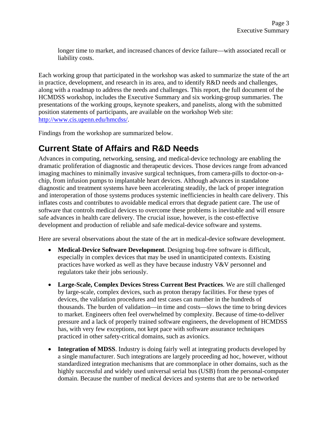longer time to market, and increased chances of device failure—with associated recall or liability costs.

Each working group that participated in the workshop was asked to summarize the state of the art in practice, development, and research in its area, and to identify R&D needs and challenges, along with a roadmap to address the needs and challenges. This report, the full document of the HCMDSS workshop, includes the Executive Summary and six working-group summaries. The presentations of the working groups, keynote speakers, and panelists, along with the submitted position statements of participants, are available on the workshop Web site: http://www.cis.upenn.edu/hmcdss/.

Findings from the workshop are summarized below.

## **Current State of Affairs and R&D Needs**

Advances in computing, networking, sensing, and medical-device technology are enabling the dramatic proliferation of diagnostic and therapeutic devices. Those devices range from advanced imaging machines to minimally invasive surgical techniques, from camera-pills to doctor-on-achip, from infusion pumps to implantable heart devices. Although advances in standalone diagnostic and treatment systems have been accelerating steadily, the lack of proper integration and interoperation of those systems produces systemic inefficiencies in health care delivery. This inflates costs and contributes to avoidable medical errors that degrade patient care. The use of software that controls medical devices to overcome these problems is inevitable and will ensure safe advances in health care delivery. The crucial issue, however, is the cost-effective development and production of reliable and safe medical-device software and systems.

Here are several observations about the state of the art in medical-device software development.

- **Medical-Device Software Development**. Designing bug-free software is difficult, especially in complex devices that may be used in unanticipated contexts. Existing practices have worked as well as they have because industry V&V personnel and regulators take their jobs seriously.
- **Large-Scale, Complex Devices Stress Current Best Practices**. We are still challenged by large-scale, complex devices, such as proton therapy facilities. For these types of devices, the validation procedures and test cases can number in the hundreds of thousands. The burden of validation—in time and costs—slows the time to bring devices to market. Engineers often feel overwhelmed by complexity. Because of time-to-deliver pressure and a lack of properly trained software engineers, the development of HCMDSS has, with very few exceptions, not kept pace with software assurance techniques practiced in other safety-critical domains, such as avionics.
- **Integration of MDSS**. Industry is doing fairly well at integrating products developed by a single manufacturer. Such integrations are largely proceeding ad hoc, however, without standardized integration mechanisms that are commonplace in other domains, such as the highly successful and widely used universal serial bus (USB) from the personal-computer domain. Because the number of medical devices and systems that are to be networked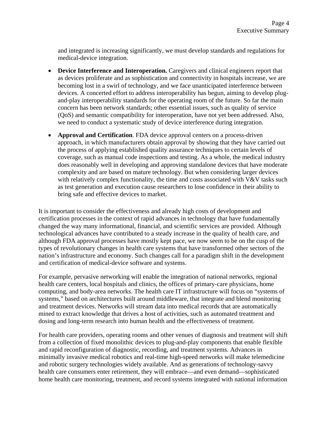and integrated is increasing significantly, we must develop standards and regulations for medical-device integration.

- **Device Interference and Interoperation.** Caregivers and clinical engineers report that as devices proliferate and as sophistication and connectivity in hospitals increase, we are becoming lost in a swirl of technology, and we face unanticipated interference between devices. A concerted effort to address interoperability has begun, aiming to develop plugand-play interoperability standards for the operating room of the future. So far the main concern has been network standards; other essential issues, such as quality of service (QoS) and semantic compatibility for interoperation, have not yet been addressed. Also, we need to conduct a systematic study of device interference during integration.
- **Approval and Certification**. FDA device approval centers on a process-driven approach, in which manufacturers obtain approval by showing that they have carried out the process of applying established quality assurance techniques to certain levels of coverage, such as manual code inspections and testing. As a whole, the medical industry does reasonably well in developing and approving standalone devices that have moderate complexity and are based on mature technology. But when considering larger devices with relatively complex functionality, the time and costs associated with V&V tasks such as test generation and execution cause researchers to lose confidence in their ability to bring safe and effective devices to market.

It is important to consider the effectiveness and already high costs of development and certification processes in the context of rapid advances in technology that have fundamentally changed the way many informational, financial, and scientific services are provided. Although technological advances have contributed to a steady increase in the quality of health care, and although FDA approval processes have mostly kept pace, we now seem to be on the cusp of the types of revolutionary changes in health care systems that have transformed other sectors of the nation's infrastructure and economy. Such changes call for a paradigm shift in the development and certification of medical-device software and systems.

For example, pervasive networking will enable the integration of national networks, regional health care centers, local hospitals and clinics, the offices of primary-care physicians, home computing, and body-area networks. The health care IT infrastructure will focus on "systems of systems," based on architectures built around middleware, that integrate and blend monitoring and treatment devices. Networks will stream data into medical records that are automatically mined to extract knowledge that drives a host of activities, such as automated treatment and dosing and long-term research into human health and the effectiveness of treatment.

For health care providers, operating rooms and other venues of diagnosis and treatment will shift from a collection of fixed monolithic devices to plug-and-play components that enable flexible and rapid reconfiguration of diagnostic, recording, and treatment systems. Advances in minimally invasive medical robotics and real-time high-speed networks will make telemedicine and robotic surgery technologies widely available. And as generations of technology-savvy health care consumers enter retirement, they will embrace—and even demand—sophisticated home health care monitoring, treatment, and record systems integrated with national information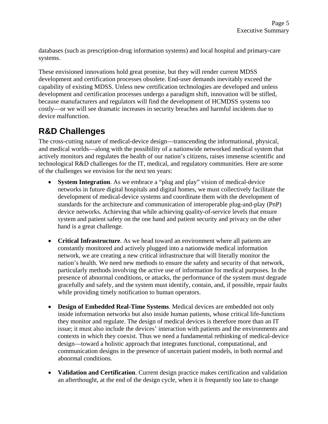databases (such as prescription-drug information systems) and local hospital and primary-care systems.

These envisioned innovations hold great promise, but they will render current MDSS development and certification processes obsolete. End-user demands inevitably exceed the capability of existing MDSS. Unless new certification technologies are developed and unless development and certification processes undergo a paradigm shift, innovation will be stifled, because manufacturers and regulators will find the development of HCMDSS systems too costly—or we will see dramatic increases in security breaches and harmful incidents due to device malfunction.

# **R&D Challenges**

The cross-cutting nature of medical-device design—transcending the informational, physical, and medical worlds—along with the possibility of a nationwide networked medical system that actively monitors and regulates the health of our nation's citizens, raises immense scientific and technological R&D challenges for the IT, medical, and regulatory communities. Here are some of the challenges we envision for the next ten years:

- **System Integration**. As we embrace a "plug and play" vision of medical-device networks in future digital hospitals and digital homes, we must collectively facilitate the development of medical-device systems and coordinate them with the development of standards for the architecture and communication of interoperable plug-and-play (PnP) device networks. Achieving that while achieving quality-of-service levels that ensure system and patient safety on the one hand and patient security and privacy on the other hand is a great challenge.
- **Critical Infrastructure**. As we head toward an environment where all patients are constantly monitored and actively plugged into a nationwide medical information network, we are creating a new critical infrastructure that will literally monitor the nation's health. We need new methods to ensure the safety and security of that network, particularly methods involving the active use of information for medical purposes. In the presence of abnormal conditions, or attacks, the performance of the system must degrade gracefully and safely, and the system must identify, contain, and, if possible, repair faults while providing timely notification to human operators.
- **Design of Embedded Real-Time Systems**. Medical devices are embedded not only inside information networks but also inside human patients, whose critical life-functions they monitor and regulate. The design of medical devices is therefore more than an IT issue; it must also include the devices' interaction with patients and the environments and contexts in which they coexist. Thus we need a fundamental rethinking of medical-device design—toward a holistic approach that integrates functional, computational, and communication designs in the presence of uncertain patient models, in both normal and abnormal conditions.
- **Validation and Certification**. Current design practice makes certification and validation an afterthought, at the end of the design cycle, when it is frequently too late to change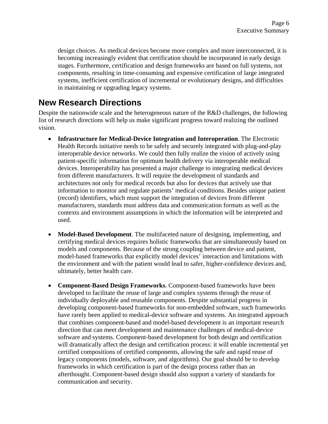design choices. As medical devices become more complex and more interconnected, it is becoming increasingly evident that certification should be incorporated in early design stages. Furthermore, certification and design frameworks are based on full systems, not components, resulting in time-consuming and expensive certification of large integrated systems, inefficient certification of incremental or evolutionary designs, and difficulties in maintaining or upgrading legacy systems.

### **New Research Directions**

Despite the nationwide scale and the heterogeneous nature of the R&D challenges, the following list of research directions will help us make significant progress toward realizing the outlined vision.

- **Infrastructure for Medical-Device Integration and Interoperation**. The Electronic Health Records initiative needs to be safely and securely integrated with plug-and-play interoperable device networks. We could then fully realize the vision of actively using patient-specific information for optimum health delivery via interoperable medical devices. Interoperability has presented a major challenge to integrating medical devices from different manufacturers. It will require the development of standards and architectures not only for medical records but also for devices that actively use that information to monitor and regulate patients' medical conditions. Besides unique patient (record) identifiers, which must support the integration of devices from different manufacturers, standards must address data and communication formats as well as the contexts and environment assumptions in which the information will be interpreted and used.
- **Model-Based Development**. The multifaceted nature of designing, implementing, and certifying medical devices requires holistic frameworks that are simultaneously based on models and components. Because of the strong coupling between device and patient, model-based frameworks that explicitly model devices' interaction and limitations with the environment and with the patient would lead to safer, higher-confidence devices and, ultimately, better health care.
- **Component-Based Design Frameworks**. Component-based frameworks have been developed to facilitate the reuse of large and complex systems through the reuse of individually deployable and reusable components. Despite substantial progress in developing component-based frameworks for non-embedded software, such frameworks have rarely been applied to medical-device software and systems. An integrated approach that combines component-based and model-based development is an important research direction that can meet development and maintenance challenges of medical-device software and systems. Component-based development for both design and certification will dramatically affect the design and certification process: it will enable incremental yet certified compositions of certified components, allowing the safe and rapid reuse of legacy components (models, software, and algorithms). Our goal should be to develop frameworks in which certification is part of the design process rather than an afterthought. Component-based design should also support a variety of standards for communication and security.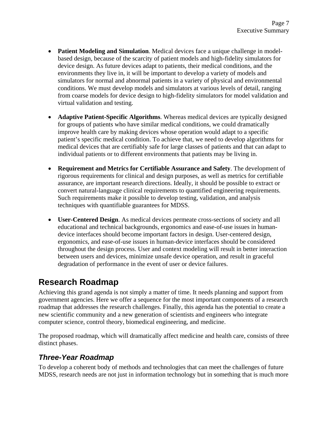- **Patient Modeling and Simulation.** Medical devices face a unique challenge in modelbased design, because of the scarcity of patient models and high-fidelity simulators for device design. As future devices adapt to patients, their medical conditions, and the environments they live in, it will be important to develop a variety of models and simulators for normal and abnormal patients in a variety of physical and environmental conditions. We must develop models and simulators at various levels of detail, ranging from coarse models for device design to high-fidelity simulators for model validation and virtual validation and testing.
- **Adaptive Patient-Specific Algorithms**. Whereas medical devices are typically designed for groups of patients who have similar medical conditions, we could dramatically improve health care by making devices whose operation would adapt to a specific patient's specific medical condition. To achieve that, we need to develop algorithms for medical devices that are certifiably safe for large classes of patients and that can adapt to individual patients or to different environments that patients may be living in.
- **Requirement and Metrics for Certifiable Assurance and Safety**. The development of rigorous requirements for clinical and design purposes, as well as metrics for certifiable assurance, are important research directions. Ideally, it should be possible to extract or convert natural-language clinical requirements to quantified engineering requirements. Such requirements make it possible to develop testing, validation, and analysis techniques with quantifiable guarantees for MDSS.
- **User-Centered Design**. As medical devices permeate cross-sections of society and all educational and technical backgrounds, ergonomics and ease-of-use issues in humandevice interfaces should become important factors in design. User-centered design, ergonomics, and ease-of-use issues in human-device interfaces should be considered throughout the design process. User and context modeling will result in better interaction between users and devices, minimize unsafe device operation, and result in graceful degradation of performance in the event of user or device failures.

## **Research Roadmap**

Achieving this grand agenda is not simply a matter of time. It needs planning and support from government agencies. Here we offer a sequence for the most important components of a research roadmap that addresses the research challenges. Finally, this agenda has the potential to create a new scientific community and a new generation of scientists and engineers who integrate computer science, control theory, biomedical engineering, and medicine.

The proposed roadmap, which will dramatically affect medicine and health care, consists of three distinct phases.

#### *Three-Year Roadmap*

To develop a coherent body of methods and technologies that can meet the challenges of future MDSS, research needs are not just in information technology but in something that is much more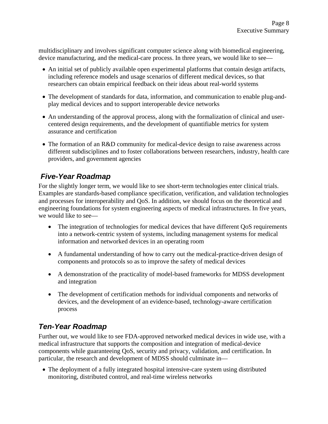multidisciplinary and involves significant computer science along with biomedical engineering, device manufacturing, and the medical-care process. In three years, we would like to see—

- An initial set of publicly available open experimental platforms that contain design artifacts, including reference models and usage scenarios of different medical devices, so that researchers can obtain empirical feedback on their ideas about real-world systems
- The development of standards for data, information, and communication to enable plug-andplay medical devices and to support interoperable device networks
- An understanding of the approval process, along with the formalization of clinical and usercentered design requirements, and the development of quantifiable metrics for system assurance and certification
- The formation of an R&D community for medical-device design to raise awareness across different subdisciplines and to foster collaborations between researchers, industry, health care providers, and government agencies

### *Five-Year Roadmap*

For the slightly longer term, we would like to see short-term technologies enter clinical trials. Examples are standards-based compliance specification, verification, and validation technologies and processes for interoperability and QoS. In addition, we should focus on the theoretical and engineering foundations for system engineering aspects of medical infrastructures. In five years, we would like to see—

- The integration of technologies for medical devices that have different QoS requirements into a network-centric system of systems, including management systems for medical information and networked devices in an operating room
- A fundamental understanding of how to carry out the medical-practice-driven design of components and protocols so as to improve the safety of medical devices
- A demonstration of the practicality of model-based frameworks for MDSS development and integration
- The development of certification methods for individual components and networks of devices, and the development of an evidence-based, technology-aware certification process

### *Ten-Year Roadmap*

Further out, we would like to see FDA-approved networked medical devices in wide use, with a medical infrastructure that supports the composition and integration of medical-device components while guaranteeing QoS, security and privacy, validation, and certification. In particular, the research and development of MDSS should culminate in—

• The deployment of a fully integrated hospital intensive-care system using distributed monitoring, distributed control, and real-time wireless networks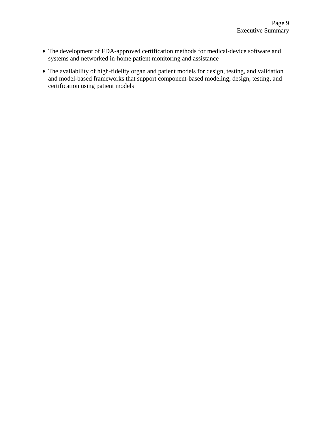- The development of FDA-approved certification methods for medical-device software and systems and networked in-home patient monitoring and assistance
- The availability of high-fidelity organ and patient models for design, testing, and validation and model-based frameworks that support component-based modeling, design, testing, and certification using patient models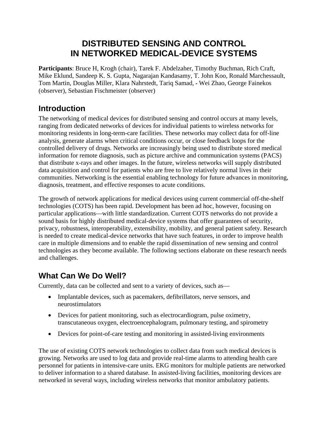## **DISTRIBUTED SENSING AND CONTROL IN NETWORKED MEDICAL-DEVICE SYSTEMS**

**Participants**: Bruce H, Krogh (chair), Tarek F. Abdelzaher, Timothy Buchman, Rich Craft, Mike Eklund, Sandeep K. S. Gupta, Nagarajan Kandasamy, T. John Koo, Ronald Marchessault, Tom Martin, Douglas Miller, Klara Nahrstedt, Tariq Samad, **-** Wei Zhao, George Fainekos (observer), Sebastian Fischmeister (observer)

#### **Introduction**

The networking of medical devices for distributed sensing and control occurs at many levels, ranging from dedicated networks of devices for individual patients to wireless networks for monitoring residents in long-term-care facilities. These networks may collect data for off-line analysis, generate alarms when critical conditions occur, or close feedback loops for the controlled delivery of drugs. Networks are increasingly being used to distribute stored medical information for remote diagnosis, such as picture archive and communication systems (PACS) that distribute x-rays and other images. In the future, wireless networks will supply distributed data acquisition and control for patients who are free to live relatively normal lives in their communities. Networking is the essential enabling technology for future advances in monitoring, diagnosis, treatment, and effective responses to acute conditions.

The growth of network applications for medical devices using current commercial off-the-shelf technologies (COTS) has been rapid. Development has been ad hoc, however, focusing on particular applications—with little standardization. Current COTS networks do not provide a sound basis for highly distributed medical-device systems that offer guarantees of security, privacy, robustness, interoperability, extensibility, mobility, and general patient safety. Research is needed to create medical-device networks that have such features, in order to improve health care in multiple dimensions and to enable the rapid dissemination of new sensing and control technologies as they become available. The following sections elaborate on these research needs and challenges.

### **What Can We Do Well?**

Currently, data can be collected and sent to a variety of devices, such as—

- Implantable devices, such as pacemakers, defibrillators, nerve sensors, and neurostimulators
- Devices for patient monitoring, such as electrocardiogram, pulse oximetry, transcutaneous oxygen, electroencephalogram, pulmonary testing, and spirometry
- Devices for point-of-care testing and monitoring in assisted-living environments

The use of existing COTS network technologies to collect data from such medical devices is growing. Networks are used to log data and provide real-time alarms to attending health care personnel for patients in intensive-care units. EKG monitors for multiple patients are networked to deliver information to a shared database. In assisted-living facilities, monitoring devices are networked in several ways, including wireless networks that monitor ambulatory patients.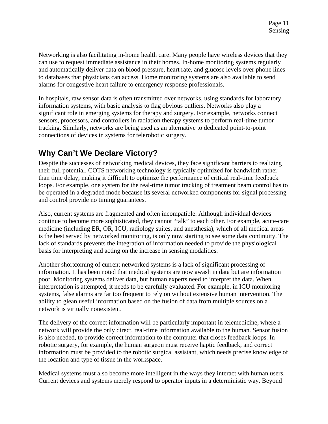Networking is also facilitating in-home health care. Many people have wireless devices that they can use to request immediate assistance in their homes. In-home monitoring systems regularly and automatically deliver data on blood pressure, heart rate, and glucose levels over phone lines to databases that physicians can access. Home monitoring systems are also available to send alarms for congestive heart failure to emergency response professionals.

In hospitals, raw sensor data is often transmitted over networks, using standards for laboratory information systems, with basic analysis to flag obvious outliers. Networks also play a significant role in emerging systems for therapy and surgery. For example, networks connect sensors, processors, and controllers in radiation therapy systems to perform real-time tumor tracking. Similarly, networks are being used as an alternative to dedicated point-to-point connections of devices in systems for telerobotic surgery.

### **Why Can't We Declare Victory?**

Despite the successes of networking medical devices, they face significant barriers to realizing their full potential. COTS networking technology is typically optimized for bandwidth rather than time delay, making it difficult to optimize the performance of critical real-time feedback loops. For example, one system for the real-time tumor tracking of treatment beam control has to be operated in a degraded mode because its several networked components for signal processing and control provide no timing guarantees.

Also, current systems are fragmented and often incompatible. Although individual devices continue to become more sophisticated, they cannot "talk" to each other. For example, acute-care medicine (including ER, OR, ICU, radiology suites, and anesthesia), which of all medical areas is the best served by networked monitoring, is only now starting to see some data continuity. The lack of standards prevents the integration of information needed to provide the physiological basis for interpreting and acting on the increase in sensing modalities.

Another shortcoming of current networked systems is a lack of significant processing of information. It has been noted that medical systems are now awash in data but are information poor. Monitoring systems deliver data, but human experts need to interpret the data. When interpretation is attempted, it needs to be carefully evaluated. For example, in ICU monitoring systems, false alarms are far too frequent to rely on without extensive human intervention. The ability to glean useful information based on the fusion of data from multiple sources on a network is virtually nonexistent.

The delivery of the correct information will be particularly important in telemedicine, where a network will provide the only direct, real-time information available to the human. Sensor fusion is also needed, to provide correct information to the computer that closes feedback loops. In robotic surgery, for example, the human surgeon must receive haptic feedback, and correct information must be provided to the robotic surgical assistant, which needs precise knowledge of the location and type of tissue in the workspace.

Medical systems must also become more intelligent in the ways they interact with human users. Current devices and systems merely respond to operator inputs in a deterministic way. Beyond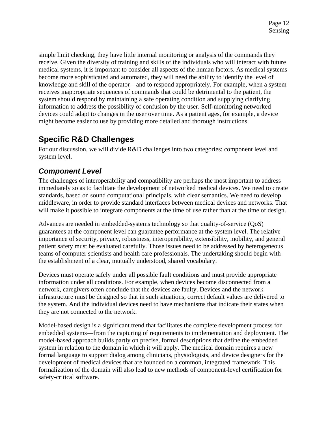simple limit checking, they have little internal monitoring or analysis of the commands they receive. Given the diversity of training and skills of the individuals who will interact with future medical systems, it is important to consider all aspects of the human factors. As medical systems become more sophisticated and automated, they will need the ability to identify the level of knowledge and skill of the operator—and to respond appropriately. For example, when a system receives inappropriate sequences of commands that could be detrimental to the patient, the system should respond by maintaining a safe operating condition and supplying clarifying information to address the possibility of confusion by the user. Self-monitoring networked devices could adapt to changes in the user over time. As a patient ages, for example, a device might become easier to use by providing more detailed and thorough instructions.

### **Specific R&D Challenges**

For our discussion, we will divide R&D challenges into two categories: component level and system level.

### *Component Level*

The challenges of interoperability and compatibility are perhaps the most important to address immediately so as to facilitate the development of networked medical devices. We need to create standards, based on sound computational principals, with clear semantics. We need to develop middleware, in order to provide standard interfaces between medical devices and networks. That will make it possible to integrate components at the time of use rather than at the time of design.

Advances are needed in embedded-systems technology so that quality-of-service (QoS) guarantees at the component level can guarantee performance at the system level. The relative importance of security, privacy, robustness, interoperability, extensibility, mobility, and general patient safety must be evaluated carefully. Those issues need to be addressed by heterogeneous teams of computer scientists and health care professionals. The undertaking should begin with the establishment of a clear, mutually understood, shared vocabulary.

Devices must operate safely under all possible fault conditions and must provide appropriate information under all conditions. For example, when devices become disconnected from a network, caregivers often conclude that the devices are faulty. Devices and the network infrastructure must be designed so that in such situations, correct default values are delivered to the system. And the individual devices need to have mechanisms that indicate their states when they are not connected to the network.

Model-based design is a significant trend that facilitates the complete development process for embedded systems—from the capturing of requirements to implementation and deployment. The model-based approach builds partly on precise, formal descriptions that define the embedded system in relation to the domain in which it will apply. The medical domain requires a new formal language to support dialog among clinicians, physiologists, and device designers for the development of medical devices that are founded on a common, integrated framework. This formalization of the domain will also lead to new methods of component-level certification for safety-critical software.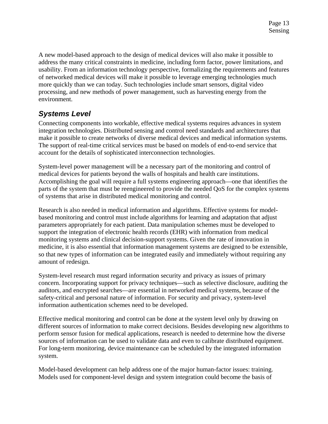A new model-based approach to the design of medical devices will also make it possible to address the many critical constraints in medicine, including form factor, power limitations, and usability. From an information technology perspective, formalizing the requirements and features of networked medical devices will make it possible to leverage emerging technologies much more quickly than we can today. Such technologies include smart sensors, digital video processing, and new methods of power management, such as harvesting energy from the environment.

### *Systems Level*

Connecting components into workable, effective medical systems requires advances in system integration technologies. Distributed sensing and control need standards and architectures that make it possible to create networks of diverse medical devices and medical information systems. The support of real-time critical services must be based on models of end-to-end service that account for the details of sophisticated interconnection technologies.

System-level power management will be a necessary part of the monitoring and control of medical devices for patients beyond the walls of hospitals and health care institutions. Accomplishing the goal will require a full systems engineering approach—one that identifies the parts of the system that must be reengineered to provide the needed QoS for the complex systems of systems that arise in distributed medical monitoring and control.

Research is also needed in medical information and algorithms. Effective systems for modelbased monitoring and control must include algorithms for learning and adaptation that adjust parameters appropriately for each patient. Data manipulation schemes must be developed to support the integration of electronic health records (EHR) with information from medical monitoring systems and clinical decision-support systems. Given the rate of innovation in medicine, it is also essential that information management systems are designed to be extensible, so that new types of information can be integrated easily and immediately without requiring any amount of redesign.

System-level research must regard information security and privacy as issues of primary concern. Incorporating support for privacy techniques—such as selective disclosure, auditing the auditors, and encrypted searches—are essential in networked medical systems, because of the safety-critical and personal nature of information. For security and privacy, system-level information authentication schemes need to be developed.

Effective medical monitoring and control can be done at the system level only by drawing on different sources of information to make correct decisions. Besides developing new algorithms to perform sensor fusion for medical applications, research is needed to determine how the diverse sources of information can be used to validate data and even to calibrate distributed equipment. For long-term monitoring, device maintenance can be scheduled by the integrated information system.

Model-based development can help address one of the major human-factor issues: training. Models used for component-level design and system integration could become the basis of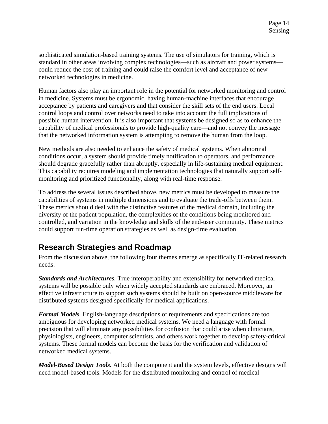sophisticated simulation-based training systems. The use of simulators for training, which is standard in other areas involving complex technologies—such as aircraft and power systems could reduce the cost of training and could raise the comfort level and acceptance of new networked technologies in medicine.

Human factors also play an important role in the potential for networked monitoring and control in medicine. Systems must be ergonomic, having human-machine interfaces that encourage acceptance by patients and caregivers and that consider the skill sets of the end users. Local control loops and control over networks need to take into account the full implications of possible human intervention. It is also important that systems be designed so as to enhance the capability of medical professionals to provide high-quality care—and not convey the message that the networked information system is attempting to remove the human from the loop.

New methods are also needed to enhance the safety of medical systems. When abnormal conditions occur, a system should provide timely notification to operators, and performance should degrade gracefully rather than abruptly, especially in life-sustaining medical equipment. This capability requires modeling and implementation technologies that naturally support selfmonitoring and prioritized functionality, along with real-time response.

To address the several issues described above, new metrics must be developed to measure the capabilities of systems in multiple dimensions and to evaluate the trade-offs between them. These metrics should deal with the distinctive features of the medical domain, including the diversity of the patient population, the complexities of the conditions being monitored and controlled, and variation in the knowledge and skills of the end-user community. These metrics could support run-time operation strategies as well as design-time evaluation.

#### **Research Strategies and Roadmap**

From the discussion above, the following four themes emerge as specifically IT-related research needs:

*Standards and Architectures.* True interoperability and extensibility for networked medical systems will be possible only when widely accepted standards are embraced. Moreover, an effective infrastructure to support such systems should be built on open-source middleware for distributed systems designed specifically for medical applications.

*Formal Models.* English-language descriptions of requirements and specifications are too ambiguous for developing networked medical systems. We need a language with formal precision that will eliminate any possibilities for confusion that could arise when clinicians, physiologists, engineers, computer scientists, and others work together to develop safety-critical systems. These formal models can become the basis for the verification and validation of networked medical systems.

*Model-Based Design Tools.* At both the component and the system levels, effective designs will need model-based tools. Models for the distributed monitoring and control of medical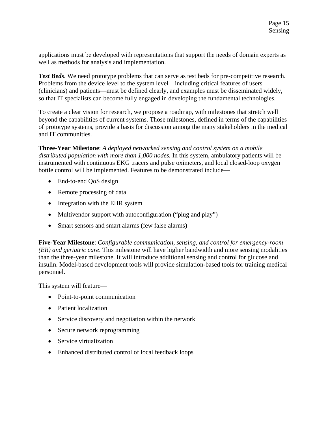applications must be developed with representations that support the needs of domain experts as well as methods for analysis and implementation.

*Test Beds.* We need prototype problems that can serve as test beds for pre-competitive research. Problems from the device level to the system level—including critical features of users (clinicians) and patients—must be defined clearly, and examples must be disseminated widely, so that IT specialists can become fully engaged in developing the fundamental technologies.

To create a clear vision for research, we propose a roadmap, with milestones that stretch well beyond the capabilities of current systems. Those milestones, defined in terms of the capabilities of prototype systems, provide a basis for discussion among the many stakeholders in the medical and IT communities.

**Three-Year Milestone**: *A deployed networked sensing and control system on a mobile distributed population with more than 1,000 nodes.* In this system, ambulatory patients will be instrumented with continuous EKG tracers and pulse oximeters, and local closed-loop oxygen bottle control will be implemented. Features to be demonstrated include—

- End-to-end QoS design
- Remote processing of data
- Integration with the EHR system
- Multivendor support with autoconfiguration ("plug and play")
- Smart sensors and smart alarms (few false alarms)

**Five-Year Milestone**: *Configurable communication, sensing, and control for emergency-room (ER) and geriatric care*. This milestone will have higher bandwidth and more sensing modalities than the three-year milestone. It will introduce additional sensing and control for glucose and insulin. Model-based development tools will provide simulation-based tools for training medical personnel.

This system will feature—

- Point-to-point communication
- Patient localization
- Service discovery and negotiation within the network
- Secure network reprogramming
- Service virtualization
- Enhanced distributed control of local feedback loops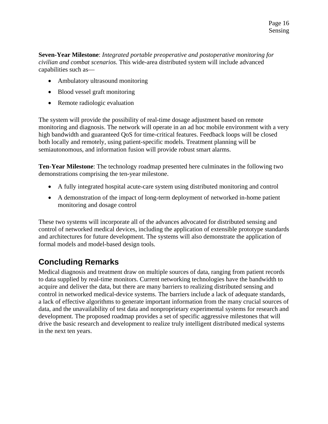**Seven-Year Milestone**: *Integrated portable preoperative and postoperative monitoring for civilian and combat scenarios.* This wide-area distributed system will include advanced capabilities such as—

- Ambulatory ultrasound monitoring
- Blood vessel graft monitoring
- Remote radiologic evaluation

The system will provide the possibility of real-time dosage adjustment based on remote monitoring and diagnosis. The network will operate in an ad hoc mobile environment with a very high bandwidth and guaranteed QoS for time-critical features. Feedback loops will be closed both locally and remotely, using patient-specific models. Treatment planning will be semiautonomous, and information fusion will provide robust smart alarms.

**Ten-Year Milestone**: The technology roadmap presented here culminates in the following two demonstrations comprising the ten-year milestone.

- A fully integrated hospital acute-care system using distributed monitoring and control
- A demonstration of the impact of long-term deployment of networked in-home patient monitoring and dosage control

These two systems will incorporate all of the advances advocated for distributed sensing and control of networked medical devices, including the application of extensible prototype standards and architectures for future development. The systems will also demonstrate the application of formal models and model-based design tools.

## **Concluding Remarks**

Medical diagnosis and treatment draw on multiple sources of data, ranging from patient records to data supplied by real-time monitors. Current networking technologies have the bandwidth to acquire and deliver the data, but there are many barriers to realizing distributed sensing and control in networked medical-device systems. The barriers include a lack of adequate standards, a lack of effective algorithms to generate important information from the many crucial sources of data, and the unavailability of test data and nonproprietary experimental systems for research and development. The proposed roadmap provides a set of specific aggressive milestones that will drive the basic research and development to realize truly intelligent distributed medical systems in the next ten years.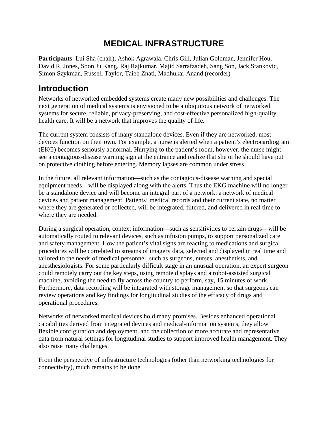## **MEDICAL INFRASTRUCTURE**

**Participants**: Lui Sha (chair), Ashok Agrawala, Chris Gill, Julian Goldman, Jennifer Hou, David R. Jones, Soon Ju Kang, Raj Rajkumar, Majid Sarrafzadeh, Sang Son, Jack Stankovic, Simon Szykman, Russell Taylor, Taieb Znati, Madhukar Anand (recorder)

## **Introduction**

Networks of networked embedded systems create many new possibilities and challenges. The next generation of medical systems is envisioned to be a ubiquitous network of networked systems for secure, reliable, privacy-preserving, and cost-effective personalized high-quality health care. It will be a network that improves the quality of life.

The current system consists of many standalone devices. Even if they are networked, most devices function on their own. For example, a nurse is alerted when a patient's electrocardiogram (EKG) becomes seriously abnormal. Hurrying to the patient's room, however, the nurse might see a contagious-disease warning sign at the entrance and realize that she or he should have put on protective clothing before entering. Memory lapses are common under stress.

In the future, all relevant information—such as the contagious-disease warning and special equipment needs—will be displayed along with the alerts. Thus the EKG machine will no longer be a standalone device and will become an integral part of a network: a network of medical devices and patient management. Patients' medical records and their current state, no matter where they are generated or collected, will be integrated, filtered, and delivered in real time to where they are needed.

During a surgical operation, context information—such as sensitivities to certain drugs—will be automatically routed to relevant devices, such as infusion pumps, to support personalized care and safety management. How the patient's vital signs are reacting to medications and surgical procedures will be correlated to streams of imagery data, selected and displayed in real time and tailored to the needs of medical personnel, such as surgeons, nurses, anesthetists, and anesthesiologists. For some particularly difficult stage in an unusual operation, an expert surgeon could remotely carry out the key steps, using remote displays and a robot-assisted surgical machine, avoiding the need to fly across the country to perform, say, 15 minutes of work. Furthermore, data recording will be integrated with storage management so that surgeons can review operations and key findings for longitudinal studies of the efficacy of drugs and operational procedures.

Networks of networked medical devices hold many promises. Besides enhanced operational capabilities derived from integrated devices and medical-information systems, they allow flexible configuration and deployment, and the collection of more accurate and representative data from natural settings for longitudinal studies to support improved health management. They also raise many challenges.

From the perspective of infrastructure technologies (other than networking technologies for connectivity), much remains to be done.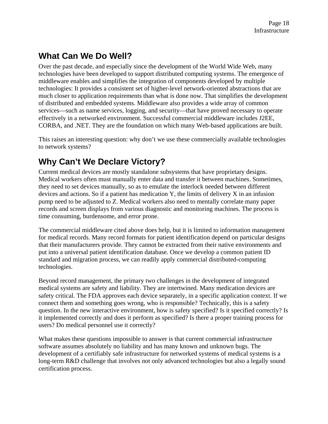# **What Can We Do Well?**

Over the past decade, and especially since the development of the World Wide Web, many technologies have been developed to support distributed computing systems. The emergence of middleware enables and simplifies the integration of components developed by multiple technologies: It provides a consistent set of higher-level network-oriented abstractions that are much closer to application requirements than what is done now. That simplifies the development of distributed and embedded systems. Middleware also provides a wide array of common services—such as name services, logging, and security—that have proved necessary to operate effectively in a networked environment. Successful commercial middleware includes J2EE, CORBA, and .NET. They are the foundation on which many Web-based applications are built.

This raises an interesting question: why don't we use these commercially available technologies to network systems?

# **Why Can't We Declare Victory?**

Current medical devices are mostly standalone subsystems that have proprietary designs. Medical workers often must manually enter data and transfer it between machines. Sometimes, they need to set devices manually, so as to emulate the interlock needed between different devices and actions. So if a patient has medication Y, the limits of delivery X in an infusion pump need to be adjusted to Z. Medical workers also need to mentally correlate many paper records and screen displays from various diagnostic and monitoring machines. The process is time consuming, burdensome, and error prone.

The commercial middleware cited above does help, but it is limited to information management for medical records. Many record formats for patient identification depend on particular designs that their manufacturers provide. They cannot be extracted from their native environments and put into a universal patient identification database. Once we develop a common patient ID standard and migration process, we can readily apply commercial distributed-computing technologies.

Beyond record management, the primary two challenges in the development of integrated medical systems are safety and liability. They are intertwined. Many medication devices are safety critical. The FDA approves each device separately, in a specific application context. If we connect them and something goes wrong, who is responsible? Technically, this is a safety question. In the new interactive environment, how is safety specified? Is it specified correctly? Is it implemented correctly and does it perform as specified? Is there a proper training process for users? Do medical personnel use it correctly?

What makes these questions impossible to answer is that current commercial infrastructure software assumes absolutely no liability and has many known and unknown bugs. The development of a certifiably safe infrastructure for networked systems of medical systems is a long-term R&D challenge that involves not only advanced technologies but also a legally sound certification process.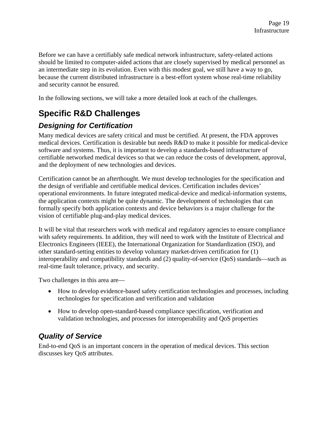Before we can have a certifiably safe medical network infrastructure, safety-related actions should be limited to computer-aided actions that are closely supervised by medical personnel as an intermediate step in its evolution. Even with this modest goal, we still have a way to go, because the current distributed infrastructure is a best-effort system whose real-time reliability and security cannot be ensured.

In the following sections, we will take a more detailed look at each of the challenges.

# **Specific R&D Challenges**

### *Designing for Certification*

Many medical devices are safety critical and must be certified. At present, the FDA approves medical devices. Certification is desirable but needs R&D to make it possible for medical-device software and systems. Thus, it is important to develop a standards-based infrastructure of certifiable networked medical devices so that we can reduce the costs of development, approval, and the deployment of new technologies and devices.

Certification cannot be an afterthought. We must develop technologies for the specification and the design of verifiable and certifiable medical devices. Certification includes devices' operational environments. In future integrated medical-device and medical-information systems, the application contexts might be quite dynamic. The development of technologies that can formally specify both application contexts and device behaviors is a major challenge for the vision of certifiable plug-and-play medical devices.

It will be vital that researchers work with medical and regulatory agencies to ensure compliance with safety requirements. In addition, they will need to work with the Institute of Electrical and Electronics Engineers (IEEE), the International Organization for Standardization (ISO), and other standard-setting entities to develop voluntary market-driven certification for (1) interoperability and compatibility standards and (2) quality-of-service (QoS) standards—such as real-time fault tolerance, privacy, and security.

Two challenges in this area are—

- How to develop evidence-based safety certification technologies and processes, including technologies for specification and verification and validation
- How to develop open-standard-based compliance specification, verification and validation technologies, and processes for interoperability and QoS properties

### *Quality of Service*

End-to-end QoS is an important concern in the operation of medical devices. This section discusses key QoS attributes.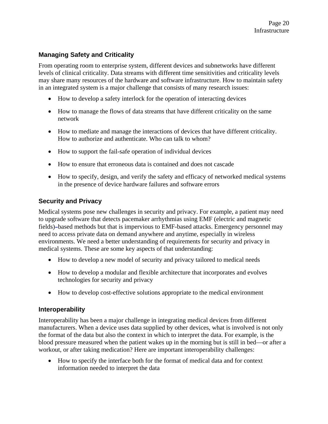#### **Managing Safety and Criticality**

From operating room to enterprise system, different devices and subnetworks have different levels of clinical criticality. Data streams with different time sensitivities and criticality levels may share many resources of the hardware and software infrastructure. How to maintain safety in an integrated system is a major challenge that consists of many research issues:

- How to develop a safety interlock for the operation of interacting devices
- How to manage the flows of data streams that have different criticality on the same network
- How to mediate and manage the interactions of devices that have different criticality. How to authorize and authenticate. Who can talk to whom?
- How to support the fail-safe operation of individual devices
- How to ensure that erroneous data is contained and does not cascade
- How to specify, design, and verify the safety and efficacy of networked medical systems in the presence of device hardware failures and software errors

#### **Security and Privacy**

Medical systems pose new challenges in security and privacy. For example, a patient may need to upgrade software that detects pacemaker arrhythmias using EMF (electric and magnetic fields)**–**based methods but that is impervious to EMF-based attacks. Emergency personnel may need to access private data on demand anywhere and anytime, especially in wireless environments. We need a better understanding of requirements for security and privacy in medical systems. These are some key aspects of that understanding:

- How to develop a new model of security and privacy tailored to medical needs
- How to develop a modular and flexible architecture that incorporates and evolves technologies for security and privacy
- How to develop cost-effective solutions appropriate to the medical environment

#### **Interoperability**

Interoperability has been a major challenge in integrating medical devices from different manufacturers. When a device uses data supplied by other devices, what is involved is not only the format of the data but also the context in which to interpret the data. For example, is the blood pressure measured when the patient wakes up in the morning but is still in bed—or after a workout, or after taking medication? Here are important interoperability challenges:

• How to specify the interface both for the format of medical data and for context information needed to interpret the data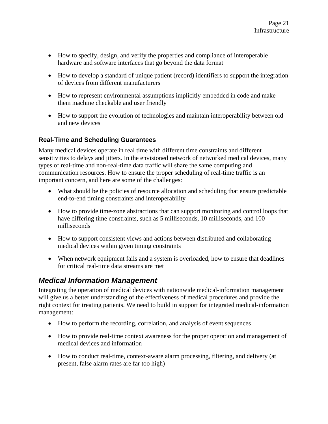- How to specify, design, and verify the properties and compliance of interoperable hardware and software interfaces that go beyond the data format
- How to develop a standard of unique patient (record) identifiers to support the integration of devices from different manufacturers
- How to represent environmental assumptions implicitly embedded in code and make them machine checkable and user friendly
- How to support the evolution of technologies and maintain interoperability between old and new devices

#### **Real-Time and Scheduling Guarantees**

Many medical devices operate in real time with different time constraints and different sensitivities to delays and jitters. In the envisioned network of networked medical devices, many types of real-time and non-real-time data traffic will share the same computing and communication resources. How to ensure the proper scheduling of real-time traffic is an important concern, and here are some of the challenges:

- What should be the policies of resource allocation and scheduling that ensure predictable end-to-end timing constraints and interoperability
- How to provide time-zone abstractions that can support monitoring and control loops that have differing time constraints, such as 5 milliseconds, 10 milliseconds, and 100 milliseconds
- How to support consistent views and actions between distributed and collaborating medical devices within given timing constraints
- When network equipment fails and a system is overloaded, how to ensure that deadlines for critical real-time data streams are met

#### *Medical Information Management*

Integrating the operation of medical devices with nationwide medical-information management will give us a better understanding of the effectiveness of medical procedures and provide the right context for treating patients. We need to build in support for integrated medical-information management:

- How to perform the recording, correlation, and analysis of event sequences
- How to provide real-time context awareness for the proper operation and management of medical devices and information
- How to conduct real-time, context-aware alarm processing, filtering, and delivery (at present, false alarm rates are far too high)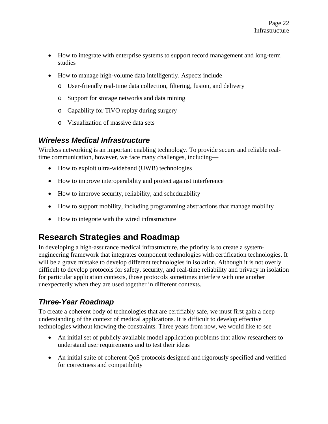- How to integrate with enterprise systems to support record management and long-term studies
- How to manage high-volume data intelligently. Aspects include
	- o User-friendly real-time data collection, filtering, fusion, and delivery
	- o Support for storage networks and data mining
	- o Capability for TiVO replay during surgery
	- o Visualization of massive data sets

#### *Wireless Medical Infrastructure*

Wireless networking is an important enabling technology. To provide secure and reliable realtime communication, however, we face many challenges, including—

- How to exploit ultra-wideband (UWB) technologies
- How to improve interoperability and protect against interference
- How to improve security, reliability, and schedulability
- How to support mobility, including programming abstractions that manage mobility
- How to integrate with the wired infrastructure

## **Research Strategies and Roadmap**

In developing a high-assurance medical infrastructure, the priority is to create a systemengineering framework that integrates component technologies with certification technologies. It will be a grave mistake to develop different technologies in isolation. Although it is not overly difficult to develop protocols for safety, security, and real-time reliability and privacy in isolation for particular application contexts, those protocols sometimes interfere with one another unexpectedly when they are used together in different contexts.

### *Three-Year Roadmap*

To create a coherent body of technologies that are certifiably safe, we must first gain a deep understanding of the context of medical applications. It is difficult to develop effective technologies without knowing the constraints. Three years from now, we would like to see—

- An initial set of publicly available model application problems that allow researchers to understand user requirements and to test their ideas
- An initial suite of coherent QoS protocols designed and rigorously specified and verified for correctness and compatibility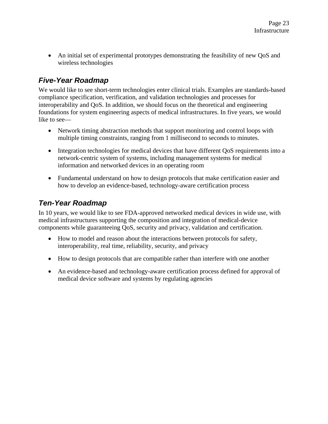• An initial set of experimental prototypes demonstrating the feasibility of new QoS and wireless technologies

#### *Five-Year Roadmap*

We would like to see short-term technologies enter clinical trials. Examples are standards-based compliance specification, verification, and validation technologies and processes for interoperability and QoS. In addition, we should focus on the theoretical and engineering foundations for system engineering aspects of medical infrastructures. In five years, we would like to see—

- Network timing abstraction methods that support monitoring and control loops with multiple timing constraints, ranging from 1 millisecond to seconds to minutes.
- Integration technologies for medical devices that have different OoS requirements into a network-centric system of systems, including management systems for medical information and networked devices in an operating room
- Fundamental understand on how to design protocols that make certification easier and how to develop an evidence-based, technology-aware certification process

### *Ten-Year Roadmap*

In 10 years, we would like to see FDA-approved networked medical devices in wide use, with medical infrastructures supporting the composition and integration of medical-device components while guaranteeing QoS, security and privacy, validation and certification.

- How to model and reason about the interactions between protocols for safety, interoperability, real time, reliability, security, and privacy
- How to design protocols that are compatible rather than interfere with one another
- An evidence-based and technology-aware certification process defined for approval of medical device software and systems by regulating agencies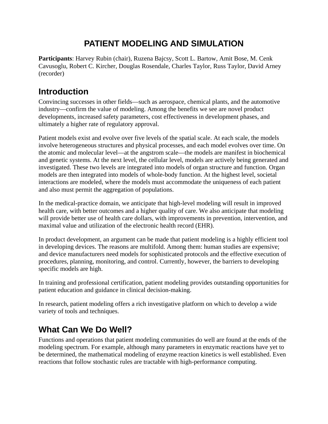## **PATIENT MODELING AND SIMULATION**

**Participants**: Harvey Rubin (chair), Ruzena Bajcsy, Scott L. Bartow, Amit Bose, M. Cenk Cavusoglu, Robert C. Kircher, Douglas Rosendale, Charles Taylor, Russ Taylor, David Arney (recorder)

## **Introduction**

Convincing successes in other fields—such as aerospace, chemical plants, and the automotive industry—confirm the value of modeling. Among the benefits we see are novel product developments, increased safety parameters, cost effectiveness in development phases, and ultimately a higher rate of regulatory approval.

Patient models exist and evolve over five levels of the spatial scale. At each scale, the models involve heterogeneous structures and physical processes, and each model evolves over time. On the atomic and molecular level—at the angstrom scale—the models are manifest in biochemical and genetic systems. At the next level, the cellular level, models are actively being generated and investigated. These two levels are integrated into models of organ structure and function. Organ models are then integrated into models of whole-body function. At the highest level, societal interactions are modeled, where the models must accommodate the uniqueness of each patient and also must permit the aggregation of populations.

In the medical-practice domain, we anticipate that high-level modeling will result in improved health care, with better outcomes and a higher quality of care. We also anticipate that modeling will provide better use of health care dollars, with improvements in prevention, intervention, and maximal value and utilization of the electronic health record (EHR).

In product development, an argument can be made that patient modeling is a highly efficient tool in developing devices. The reasons are multifold. Among them: human studies are expensive; and device manufacturers need models for sophisticated protocols and the effective execution of procedures, planning, monitoring, and control. Currently, however, the barriers to developing specific models are high.

In training and professional certification, patient modeling provides outstanding opportunities for patient education and guidance in clinical decision-making.

In research, patient modeling offers a rich investigative platform on which to develop a wide variety of tools and techniques.

## **What Can We Do Well?**

Functions and operations that patient modeling communities do well are found at the ends of the modeling spectrum. For example, although many parameters in enzymatic reactions have yet to be determined, the mathematical modeling of enzyme reaction kinetics is well established. Even reactions that follow stochastic rules are tractable with high-performance computing.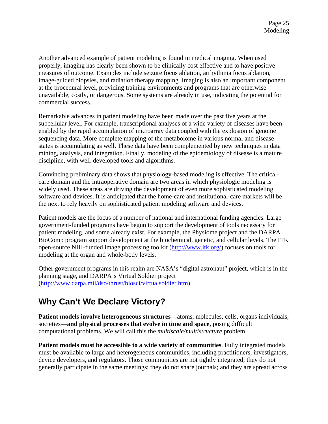Another advanced example of patient modeling is found in medical imaging. When used properly, imaging has clearly been shown to be clinically cost effective and to have positive measures of outcome. Examples include seizure focus ablation, arrhythmia focus ablation, image-guided biopsies, and radiation therapy mapping. Imaging is also an important component at the procedural level, providing training environments and programs that are otherwise unavailable, costly, or dangerous. Some systems are already in use, indicating the potential for commercial success.

Remarkable advances in patient modeling have been made over the past five years at the subcellular level. For example, transcriptional analyses of a wide variety of diseases have been enabled by the rapid accumulation of microarray data coupled with the explosion of genome sequencing data. More complete mapping of the metabolome in various normal and disease states is accumulating as well. These data have been complemented by new techniques in data mining, analysis, and integration. Finally, modeling of the epidemiology of disease is a mature discipline, with well-developed tools and algorithms.

Convincing preliminary data shows that physiology-based modeling is effective. The criticalcare domain and the intraoperative domain are two areas in which physiologic modeling is widely used. These areas are driving the development of even more sophisticated modeling software and devices. It is anticipated that the home-care and institutional-care markets will be the next to rely heavily on sophisticated patient modeling software and devices.

Patient models are the focus of a number of national and international funding agencies. Large government-funded programs have begun to support the development of tools necessary for patient modeling, and some already exist. For example, the Physiome project and the DARPA BioComp program support development at the biochemical, genetic, and cellular levels. The ITK open-source NIH-funded image processing toolkit (http://www.itk.org/) focuses on tools for modeling at the organ and whole-body levels.

Other government programs in this realm are NASA's "digital astronaut" project, which is in the planning stage, and DARPA's Virtual Soldier project (http://www.darpa.mil/dso/thrust/biosci/virtualsoldier.htm).

## **Why Can't We Declare Victory?**

**Patient models involve heterogeneous structures**—atoms, molecules, cells, organs individuals, societies—**and physical processes that evolve in time and space**, posing difficult computational problems. We will call this the *multiscale/multistructure* problem.

**Patient models must be accessible to a wide variety of communities**. Fully integrated models must be available to large and heterogeneous communities, including practitioners, investigators, device developers, and regulators. Those communities are not tightly integrated; they do not generally participate in the same meetings; they do not share journals; and they are spread across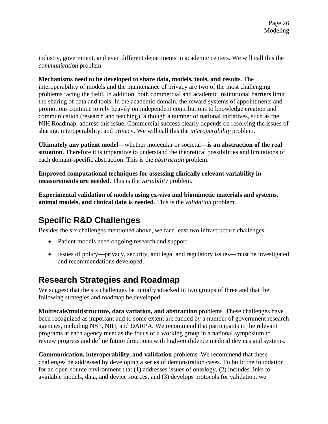industry, government, and even different departments in academic centers. We will call this the *communication* problem.

**Mechanisms need to be developed to share data, models, tools, and results**. The interoperability of models and the maintenance of privacy are two of the most challenging problems facing the field. In addition, both commercial and academic institutional barriers limit the sharing of data and tools. In the academic domain, the reward systems of appointments and promotions continue to rely heavily on independent contributions to knowledge creation and communication (research and teaching), although a number of national initiatives, such as the NIH Roadmap, address this issue. Commercial success clearly depends on resolving the issues of sharing, interoperability, and privacy. We will call this the *interoperability* problem.

**Ultimately any patient model**—whether molecular or societal—**is an abstraction of the real situation**. Therefore it is imperative to understand the theoretical possibilities and limitations of each domain-specific abstraction. This is the *abstraction* problem.

**Improved computational techniques for assessing clinically relevant variability in measurements are needed**. This is the *variability* problem.

**Experimental validation of models using ex-vivo and biomimetic materials and systems, animal models, and clinical data is needed**. This is the *validation* problem.

## **Specific R&D Challenges**

Besides the six challenges mentioned above, we face least two infrastructure challenges:

- Patient models need ongoing research and support.
- Issues of policy—privacy, security, and legal and regulatory issues—must be investigated and recommendations developed.

## **Research Strategies and Roadmap**

We suggest that the six challenges be initially attacked in two groups of three and that the following strategies and roadmap be developed:

**Multiscale/multistructure, data variation, and abstraction** problems. These challenges have been recognized as important and to some extent are funded by a number of government research agencies, including NSF, NIH, and DARPA. We recommend that participants in the relevant programs at each agency meet as the focus of a working group in a national symposium to review progress and define future directions with high-confidence medical devices and systems.

**Communication, interoperability, and validation** problems. We recommend that these challenges be addressed by developing a series of demonstration cases. To build the foundation for an open-source environment that (1) addresses issues of ontology, (2) includes links to available models, data, and device sources, and (3) develops protocols for validation, we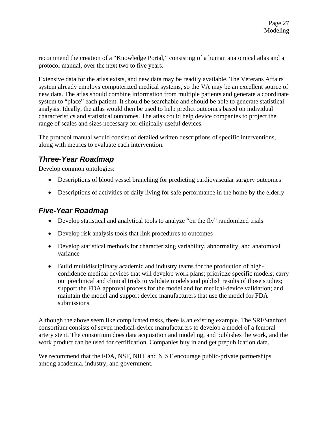recommend the creation of a "Knowledge Portal," consisting of a human anatomical atlas and a protocol manual, over the next two to five years.

Extensive data for the atlas exists, and new data may be readily available. The Veterans Affairs system already employs computerized medical systems, so the VA may be an excellent source of new data. The atlas should combine information from multiple patients and generate a coordinate system to "place" each patient. It should be searchable and should be able to generate statistical analysis. Ideally, the atlas would then be used to help predict outcomes based on individual characteristics and statistical outcomes. The atlas could help device companies to project the range of scales and sizes necessary for clinically useful devices.

The protocol manual would consist of detailed written descriptions of specific interventions, along with metrics to evaluate each intervention.

#### *Three-Year Roadmap*

Develop common ontologies:

- Descriptions of blood vessel branching for predicting cardiovascular surgery outcomes
- Descriptions of activities of daily living for safe performance in the home by the elderly

#### *Five-Year Roadmap*

- Develop statistical and analytical tools to analyze "on the fly" randomized trials
- Develop risk analysis tools that link procedures to outcomes
- Develop statistical methods for characterizing variability, abnormality, and anatomical variance
- Build multidisciplinary academic and industry teams for the production of highconfidence medical devices that will develop work plans; prioritize specific models; carry out preclinical and clinical trials to validate models and publish results of those studies; support the FDA approval process for the model and for medical-device validation; and maintain the model and support device manufacturers that use the model for FDA submissions

Although the above seem like complicated tasks, there is an existing example. The SRI/Stanford consortium consists of seven medical-device manufacturers to develop a model of a femoral artery stent. The consortium does data acquisition and modeling, and publishes the work, and the work product can be used for certification. Companies buy in and get prepublication data.

We recommend that the FDA, NSF, NIH, and NIST encourage public-private partnerships among academia, industry, and government.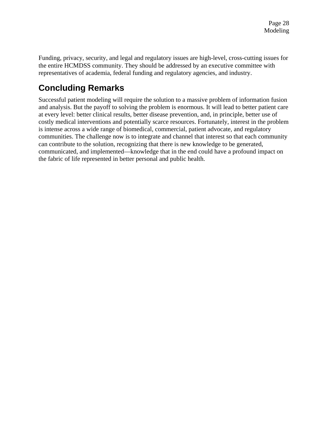Funding, privacy, security, and legal and regulatory issues are high-level, cross-cutting issues for the entire HCMDSS community. They should be addressed by an executive committee with representatives of academia, federal funding and regulatory agencies, and industry.

# **Concluding Remarks**

Successful patient modeling will require the solution to a massive problem of information fusion and analysis. But the payoff to solving the problem is enormous. It will lead to better patient care at every level: better clinical results, better disease prevention, and, in principle, better use of costly medical interventions and potentially scarce resources. Fortunately, interest in the problem is intense across a wide range of biomedical, commercial, patient advocate, and regulatory communities. The challenge now is to integrate and channel that interest so that each community can contribute to the solution, recognizing that there is new knowledge to be generated, communicated, and implemented—knowledge that in the end could have a profound impact on the fabric of life represented in better personal and public health.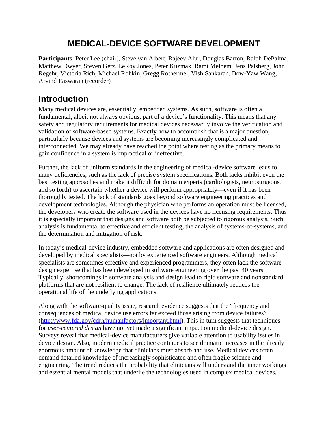## **MEDICAL-DEVICE SOFTWARE DEVELOPMENT**

**Participants**: Peter Lee (chair), Steve van Albert, Rajeev Alur, Douglas Barton, Ralph DePalma, Matthew Dwyer, Steven Getz, LeRoy Jones, Peter Kuzmak, Rami Melhem, Jens Palsberg, John Regehr, Victoria Rich, Michael Robkin, Gregg Rothermel, Vish Sankaran, Bow-Yaw Wang, Arvind Easwaran (recorder)

## **Introduction**

Many medical devices are, essentially, embedded systems. As such, software is often a fundamental, albeit not always obvious, part of a device's functionality. This means that any safety and regulatory requirements for medical devices necessarily involve the verification and validation of software-based systems. Exactly how to accomplish that is a major question, particularly because devices and systems are becoming increasingly complicated and interconnected. We may already have reached the point where testing as the primary means to gain confidence in a system is impractical or ineffective.

Further, the lack of uniform standards in the engineering of medical-device software leads to many deficiencies, such as the lack of precise system specifications. Both lacks inhibit even the best testing approaches and make it difficult for domain experts (cardiologists, neurosurgeons, and so forth) to ascertain whether a device will perform appropriately—even if it has been thoroughly tested. The lack of standards goes beyond software engineering practices and development technologies. Although the physician who performs an operation must be licensed, the developers who create the software used in the devices have no licensing requirements. Thus it is especially important that designs and software both be subjected to rigorous analysis. Such analysis is fundamental to effective and efficient testing, the analysis of systems-of-systems, and the determination and mitigation of risk.

In today's medical-device industry, embedded software and applications are often designed and developed by medical specialists—not by experienced software engineers. Although medical specialists are sometimes effective and experienced programmers, they often lack the software design expertise that has been developed in software engineering over the past 40 years. Typically, shortcomings in software analysis and design lead to rigid software and nonstandard platforms that are not resilient to change. The lack of resilience ultimately reduces the operational life of the underlying applications.

Along with the software-quality issue, research evidence suggests that the "frequency and consequences of medical device use errors far exceed those arising from device failures" (http://www.fda.gov/cdrh/humanfactors/important.html). This in turn suggests that techniques for *user-centered design* have not yet made a significant impact on medical-device design. Surveys reveal that medical-device manufacturers give variable attention to usability issues in device design. Also, modern medical practice continues to see dramatic increases in the already enormous amount of knowledge that clinicians must absorb and use. Medical devices often demand detailed knowledge of increasingly sophisticated and often fragile science and engineering. The trend reduces the probability that clinicians will understand the inner workings and essential mental models that underlie the technologies used in complex medical devices.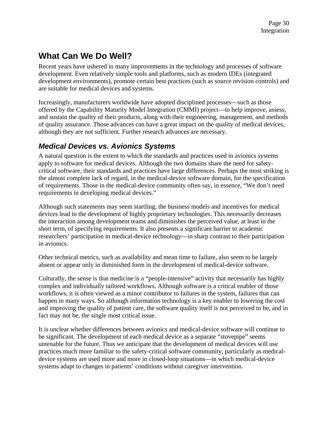# **What Can We Do Well?**

Recent years have ushered in many improvements in the technology and processes of software development. Even relatively simple tools and platforms, such as modern IDEs (integrated development environments), promote certain best practices (such as source revision controls) and are suitable for medical devices and systems.

Increasingly, manufacturers worldwide have adopted disciplined processes—such as those offered by the Capability Maturity Model Integration (CMMI) project—to help improve, assess, and sustain the quality of their products, along with their engineering, management, and methods of quality assurance. Those advances can have a great impact on the quality of medical devices, although they are not sufficient. Further research advances are necessary.

#### *Medical Devices vs. Avionics Systems*

A natural question is the extent to which the standards and practices used in avionics systems apply to software for medical devices. Although the two domains share the need for safetycritical software, their standards and practices have large differences. Perhaps the most striking is the almost complete lack of regard, in the medical-device software domain, for the specification of requirements. Those in the medical-device community often say, in essence, "We don't need requirements in developing medical devices."

Although such statements may seem startling, the business models and incentives for medical devices lead to the development of highly proprietary technologies. This necessarily decreases the interaction among development teams and diminishes the perceived value, at least in the short term, of specifying requirements. It also presents a significant barrier to academic researchers' participation in medical-device technology—in sharp contrast to their participation in avionics.

Other technical metrics, such as availability and mean time to failure, also seem to be largely absent or appear only in diminished form in the development of medical-device software.

Culturally, the sense is that medicine is a "people-intensive" activity that necessarily has highly complex and individually tailored workflows. Although software is a critical enabler of those workflows, it is often viewed as a minor contributor to failures in the system, failures that can happen in many ways. So although information technology is a key enabler to lowering the cost and improving the quality of patient care, the software quality itself is not perceived to be, and in fact may not be, the single most critical issue.

It is unclear whether differences between avionics and medical-device software will continue to be significant. The development of each medical device as a separate "stovepipe" seems untenable for the future. Thus we anticipate that the development of medical devices will use practices much more familiar to the safety-critical software community, particularly as medicaldevice systems are used more and more in closed-loop situations—in which medical-device systems adapt to changes in patients' conditions without caregiver intervention.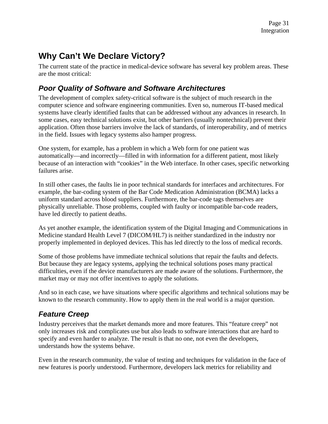## **Why Can't We Declare Victory?**

The current state of the practice in medical-device software has several key problem areas. These are the most critical:

#### *Poor Quality of Software and Software Architectures*

The development of complex safety-critical software is the subject of much research in the computer science and software engineering communities. Even so, numerous IT-based medical systems have clearly identified faults that can be addressed without any advances in research. In some cases, easy technical solutions exist, but other barriers (usually nontechnical) prevent their application. Often those barriers involve the lack of standards, of interoperability, and of metrics in the field. Issues with legacy systems also hamper progress.

One system, for example, has a problem in which a Web form for one patient was automatically—and incorrectly—filled in with information for a different patient, most likely because of an interaction with "cookies" in the Web interface. In other cases, specific networking failures arise.

In still other cases, the faults lie in poor technical standards for interfaces and architectures. For example, the bar-coding system of the Bar Code Medication Administration (BCMA) lacks a uniform standard across blood suppliers. Furthermore, the bar-code tags themselves are physically unreliable. Those problems, coupled with faulty or incompatible bar-code readers, have led directly to patient deaths.

As yet another example, the identification system of the Digital Imaging and Communications in Medicine standard Health Level 7 (DICOM/HL7) is neither standardized in the industry nor properly implemented in deployed devices. This has led directly to the loss of medical records.

Some of those problems have immediate technical solutions that repair the faults and defects. But because they are legacy systems, applying the technical solutions poses many practical difficulties, even if the device manufacturers are made aware of the solutions. Furthermore, the market may or may not offer incentives to apply the solutions.

And so in each case, we have situations where specific algorithms and technical solutions may be known to the research community. How to apply them in the real world is a major question.

## *Feature Creep*

Industry perceives that the market demands more and more features. This "feature creep" not only increases risk and complicates use but also leads to software interactions that are hard to specify and even harder to analyze. The result is that no one, not even the developers, understands how the systems behave.

Even in the research community, the value of testing and techniques for validation in the face of new features is poorly understood. Furthermore, developers lack metrics for reliability and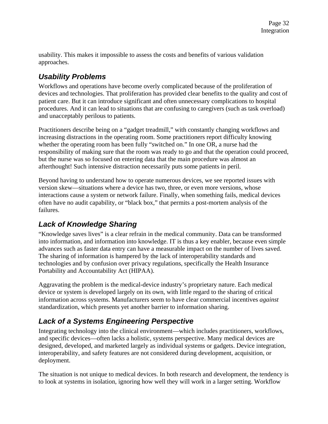usability. This makes it impossible to assess the costs and benefits of various validation approaches.

### *Usability Problems*

Workflows and operations have become overly complicated because of the proliferation of devices and technologies. That proliferation has provided clear benefits to the quality and cost of patient care. But it can introduce significant and often unnecessary complications to hospital procedures. And it can lead to situations that are confusing to caregivers (such as task overload) and unacceptably perilous to patients.

Practitioners describe being on a "gadget treadmill," with constantly changing workflows and increasing distractions in the operating room. Some practitioners report difficulty knowing whether the operating room has been fully "switched on." In one OR, a nurse had the responsibility of making sure that the room was ready to go and that the operation could proceed, but the nurse was so focused on entering data that the main procedure was almost an afterthought! Such intensive distraction necessarily puts some patients in peril.

Beyond having to understand how to operate numerous devices, we see reported issues with version skew—situations where a device has two, three, or even more versions, whose interactions cause a system or network failure. Finally, when something fails, medical devices often have no audit capability, or "black box," that permits a post-mortem analysis of the failures.

## *Lack of Knowledge Sharing*

"Knowledge saves lives" is a clear refrain in the medical community. Data can be transformed into information, and information into knowledge. IT is thus a key enabler, because even simple advances such as faster data entry can have a measurable impact on the number of lives saved. The sharing of information is hampered by the lack of interoperability standards and technologies and by confusion over privacy regulations, specifically the Health Insurance Portability and Accountability Act (HIPAA).

Aggravating the problem is the medical-device industry's proprietary nature. Each medical device or system is developed largely on its own, with little regard to the sharing of critical information across systems. Manufacturers seem to have clear commercial incentives *against*  standardization, which presents yet another barrier to information sharing.

## *Lack of a Systems Engineering Perspective*

Integrating technology into the clinical environment—which includes practitioners, workflows, and specific devices—often lacks a holistic, systems perspective. Many medical devices are designed, developed, and marketed largely as individual systems or gadgets. Device integration, interoperability, and safety features are not considered during development, acquisition, or deployment.

The situation is not unique to medical devices. In both research and development, the tendency is to look at systems in isolation, ignoring how well they will work in a larger setting. Workflow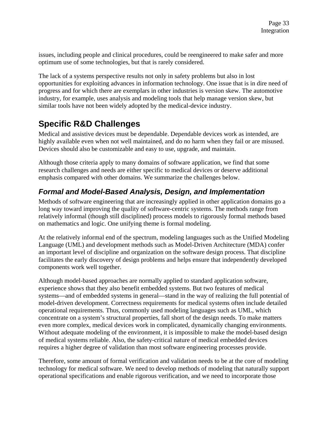issues, including people and clinical procedures, could be reengineered to make safer and more optimum use of some technologies, but that is rarely considered.

The lack of a systems perspective results not only in safety problems but also in lost opportunities for exploiting advances in information technology. One issue that is in dire need of progress and for which there are exemplars in other industries is version skew. The automotive industry, for example, uses analysis and modeling tools that help manage version skew, but similar tools have not been widely adopted by the medical-device industry.

## **Specific R&D Challenges**

Medical and assistive devices must be dependable. Dependable devices work as intended, are highly available even when not well maintained, and do no harm when they fail or are misused. Devices should also be customizable and easy to use, upgrade, and maintain.

Although those criteria apply to many domains of software application, we find that some research challenges and needs are either specific to medical devices or deserve additional emphasis compared with other domains. We summarize the challenges below.

### *Formal and Model-Based Analysis, Design, and Implementation*

Methods of software engineering that are increasingly applied in other application domains go a long way toward improving the quality of software-centric systems. The methods range from relatively informal (though still disciplined) process models to rigorously formal methods based on mathematics and logic. One unifying theme is formal modeling.

At the relatively informal end of the spectrum, modeling languages such as the Unified Modeling Language (UML) and development methods such as Model-Driven Architecture (MDA) confer an important level of discipline and organization on the software design process. That discipline facilitates the early discovery of design problems and helps ensure that independently developed components work well together.

Although model-based approaches are normally applied to standard application software, experience shows that they also benefit embedded systems. But two features of medical systems—and of embedded systems in general—stand in the way of realizing the full potential of model-driven development. Correctness requirements for medical systems often include detailed operational requirements. Thus, commonly used modeling languages such as UML, which concentrate on a system's structural properties, fall short of the design needs. To make matters even more complex, medical devices work in complicated, dynamically changing environments. Without adequate modeling of the environment, it is impossible to make the model-based design of medical systems reliable. Also, the safety-critical nature of medical embedded devices requires a higher degree of validation than most software engineering processes provide.

Therefore, some amount of formal verification and validation needs to be at the core of modeling technology for medical software. We need to develop methods of modeling that naturally support operational specifications and enable rigorous verification, and we need to incorporate those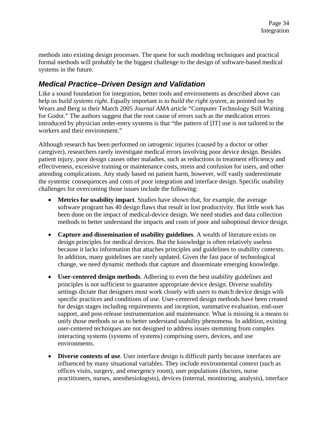methods into existing design processes. The quest for such modeling techniques and practical formal methods will probably be the biggest challenge to the design of software-based medical systems in the future.

#### *Medical Practice–Driven Design and Validation*

Like a sound foundation for integration, better tools and environments as described above can help us *build systems right*. Equally important is *to build the right system,* as pointed out by Wears and Berg in their March 2005 *Journal AMA* article "Computer Technology Still Waiting for Godot." The authors suggest that the root cause of errors such as the medication errors introduced by physician order-entry systems is that "the pattern of [IT] use is not tailored to the workers and their environment."

Although research has been performed on iatrogenic injuries (caused by a doctor or other caregiver), researchers rarely investigate medical errors involving poor device design. Besides patient injury, poor design causes other maladies, such as reductions in treatment efficiency and effectiveness, excessive training or maintenance costs, stress and confusion for users, and other attending complications. Any study based on patient harm, however, will vastly underestimate the systemic consequences and costs of poor integration and interface design. Specific usability challenges for overcoming those issues include the following:

- **Metrics for usability impact**. Studies have shown that, for example, the average software program has 40 design flaws that result in lost productivity. But little work has been done on the impact of medical-device design. We need studies and data collection methods to better understand the impacts and costs of poor and suboptimal device design.
- **Capture and dissemination of usability guidelines**. A wealth of literature exists on design principles for medical devices. But the knowledge is often relatively useless because it lacks information that attaches principles and guidelines to usability contexts. In addition, many guidelines are rarely updated. Given the fast pace of technological change, we need dynamic methods that capture and disseminate emerging knowledge.
- **User-centered design methods**. Adhering to even the best usability guidelines and principles is not sufficient to guarantee appropriate device design. Diverse usability settings dictate that designers must work closely with users to match device design with specific practices and conditions of use. User-centered design methods have been created for design stages including requirements and inception, summative evaluation, end-user support, and post-release instrumentation and maintenance. What is missing is a means to unify those methods so as to better understand usability phenomena. In addition, existing user-centered techniques are not designed to address issues stemming from complex interacting systems (systems of systems) comprising users, devices, and use environments.
- **Diverse contexts of use**. User interface design is difficult partly because interfaces are influenced by many situational variables. They include environmental context (such as offices visits, surgery, and emergency room), user populations (doctors, nurse practitioners, nurses, anesthesiologists), devices (internal, monitoring, analysis), interface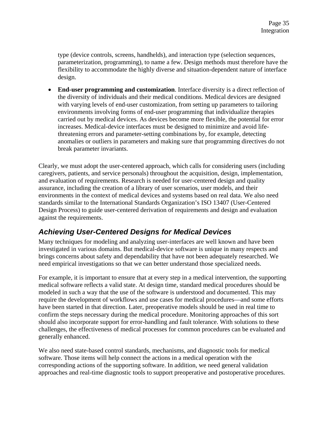type (device controls, screens, handhelds), and interaction type (selection sequences, parameterization, programming), to name a few. Design methods must therefore have the flexibility to accommodate the highly diverse and situation-dependent nature of interface design.

• **End-user programming and customization**. Interface diversity is a direct reflection of the diversity of individuals and their medical conditions. Medical devices are designed with varying levels of end-user customization, from setting up parameters to tailoring environments involving forms of end-user programming that individualize therapies carried out by medical devices. As devices become more flexible, the potential for error increases. Medical-device interfaces must be designed to minimize and avoid lifethreatening errors and parameter-setting combinations by, for example, detecting anomalies or outliers in parameters and making sure that programming directives do not break parameter invariants.

Clearly, we must adopt the user-centered approach, which calls for considering users (including caregivers, patients, and service personals) throughout the acquisition, design, implementation, and evaluation of requirements. Research is needed for user-centered design and quality assurance, including the creation of a library of user scenarios, user models, and their environments in the context of medical devices and systems based on real data. We also need standards similar to the International Standards Organization's ISO 13407 (User-Centered Design Process) to guide user-centered derivation of requirements and design and evaluation against the requirements.

### *Achieving User-Centered Designs for Medical Devices*

Many techniques for modeling and analyzing user-interfaces are well known and have been investigated in various domains. But medical-device software is unique in many respects and brings concerns about safety and dependability that have not been adequately researched. We need empirical investigations so that we can better understand those specialized needs.

For example, it is important to ensure that at every step in a medical intervention, the supporting medical software reflects a valid state. At design time, standard medical procedures should be modeled in such a way that the use of the software is understood and documented. This may require the development of workflows and use cases for medical procedures—and some efforts have been started in that direction. Later, preoperative models should be used in real time to confirm the steps necessary during the medical procedure. Monitoring approaches of this sort should also incorporate support for error-handling and fault tolerance. With solutions to these challenges, the effectiveness of medical processes for common procedures can be evaluated and generally enhanced.

We also need state-based control standards, mechanisms, and diagnostic tools for medical software. Those items will help connect the actions in a medical operation with the corresponding actions of the supporting software. In addition, we need general validation approaches and real-time diagnostic tools to support preoperative and postoperative procedures.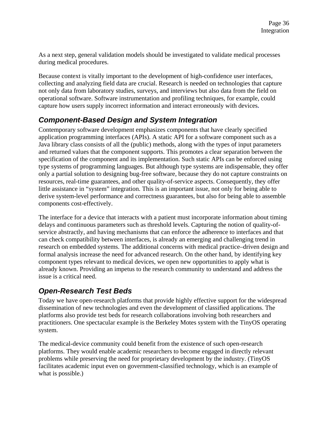As a next step, general validation models should be investigated to validate medical processes during medical procedures.

Because context is vitally important to the development of high-confidence user interfaces, collecting and analyzing field data are crucial. Research is needed on technologies that capture not only data from laboratory studies, surveys, and interviews but also data from the field on operational software. Software instrumentation and profiling techniques, for example, could capture how users supply incorrect information and interact erroneously with devices**.** 

#### *Component-Based Design and System Integration*

Contemporary software development emphasizes components that have clearly specified application programming interfaces (APIs). A static API for a software component such as a Java library class consists of all the (public) methods, along with the types of input parameters and returned values that the component supports. This promotes a clear separation between the specification of the component and its implementation. Such static APIs can be enforced using type systems of programming languages. But although type systems are indispensable, they offer only a partial solution to designing bug-free software, because they do not capture constraints on resources, real-time guarantees, and other quality-of-service aspects. Consequently, they offer little assistance in "system" integration. This is an important issue, not only for being able to derive system-level performance and correctness guarantees, but also for being able to assemble components cost-effectively.

The interface for a device that interacts with a patient must incorporate information about timing delays and continuous parameters such as threshold levels. Capturing the notion of quality-ofservice abstractly, and having mechanisms that can enforce the adherence to interfaces and that can check compatibility between interfaces, is already an emerging and challenging trend in research on embedded systems. The additional concerns with medical practice–driven design and formal analysis increase the need for advanced research. On the other hand, by identifying key component types relevant to medical devices, we open new opportunities to apply what is already known. Providing an impetus to the research community to understand and address the issue is a critical need.

### *Open-Research Test Beds*

Today we have open-research platforms that provide highly effective support for the widespread dissemination of new technologies and even the development of classified applications. The platforms also provide test beds for research collaborations involving both researchers and practitioners. One spectacular example is the Berkeley Motes system with the TinyOS operating system.

The medical-device community could benefit from the existence of such open-research platforms. They would enable academic researchers to become engaged in directly relevant problems while preserving the need for proprietary development by the industry. (TinyOS facilitates academic input even on government-classified technology, which is an example of what is possible.)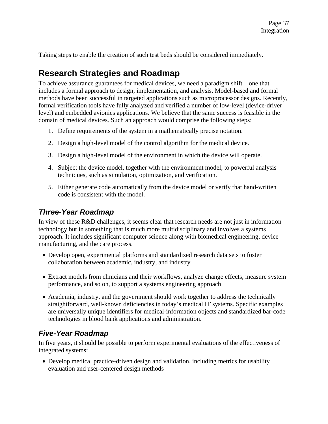Taking steps to enable the creation of such test beds should be considered immediately.

## **Research Strategies and Roadmap**

To achieve assurance guarantees for medical devices, we need a paradigm shift—one that includes a formal approach to design, implementation, and analysis. Model-based and formal methods have been successful in targeted applications such as microprocessor designs. Recently, formal verification tools have fully analyzed and verified a number of low-level (device-driver level) and embedded avionics applications. We believe that the same success is feasible in the domain of medical devices. Such an approach would comprise the following steps:

- 1. Define requirements of the system in a mathematically precise notation.
- 2. Design a high-level model of the control algorithm for the medical device.
- 3. Design a high-level model of the environment in which the device will operate.
- 4. Subject the device model, together with the environment model, to powerful analysis techniques, such as simulation, optimization, and verification.
- 5. Either generate code automatically from the device model or verify that hand-written code is consistent with the model.

#### *Three-Year Roadmap*

In view of these R&D challenges, it seems clear that research needs are not just in information technology but in something that is much more multidisciplinary and involves a systems approach. It includes significant computer science along with biomedical engineering, device manufacturing, and the care process.

- Develop open, experimental platforms and standardized research data sets to foster collaboration between academic, industry, and industry
- Extract models from clinicians and their workflows, analyze change effects, measure system performance, and so on, to support a systems engineering approach
- Academia, industry, and the government should work together to address the technically straightforward, well-known deficiencies in today's medical IT systems. Specific examples are universally unique identifiers for medical-information objects and standardized bar-code technologies in blood bank applications and administration.

#### *Five-Year Roadmap*

In five years, it should be possible to perform experimental evaluations of the effectiveness of integrated systems:

• Develop medical practice-driven design and validation, including metrics for usability evaluation and user-centered design methods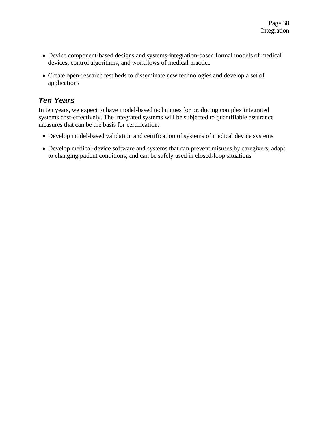- Device component-based designs and systems-integration-based formal models of medical devices, control algorithms, and workflows of medical practice
- Create open-research test beds to disseminate new technologies and develop a set of applications

#### *Ten Years*

In ten years, we expect to have model-based techniques for producing complex integrated systems cost-effectively. The integrated systems will be subjected to quantifiable assurance measures that can be the basis for certification:

- Develop model-based validation and certification of systems of medical device systems
- Develop medical-device software and systems that can prevent misuses by caregivers, adapt to changing patient conditions, and can be safely used in closed-loop situations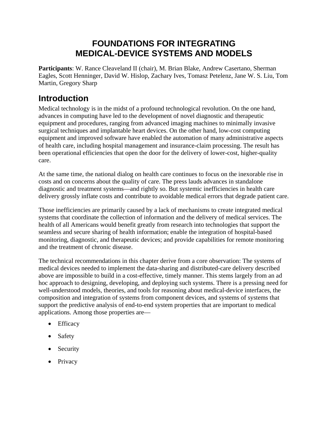## **FOUNDATIONS FOR INTEGRATING MEDICAL-DEVICE SYSTEMS AND MODELS**

**Participants**: W. Rance Cleaveland II (chair), M. Brian Blake, Andrew Casertano, Sherman Eagles, Scott Henninger, David W. Hislop, Zachary Ives, Tomasz Petelenz, Jane W. S. Liu, Tom Martin, Gregory Sharp

### **Introduction**

Medical technology is in the midst of a profound technological revolution. On the one hand, advances in computing have led to the development of novel diagnostic and therapeutic equipment and procedures, ranging from advanced imaging machines to minimally invasive surgical techniques and implantable heart devices. On the other hand, low-cost computing equipment and improved software have enabled the automation of many administrative aspects of health care, including hospital management and insurance-claim processing. The result has been operational efficiencies that open the door for the delivery of lower-cost, higher-quality care.

At the same time, the national dialog on health care continues to focus on the inexorable rise in costs and on concerns about the quality of care. The press lauds advances in standalone diagnostic and treatment systems—and rightly so. But systemic inefficiencies in health care delivery grossly inflate costs and contribute to avoidable medical errors that degrade patient care.

Those inefficiencies are primarily caused by a lack of mechanisms to create integrated medical systems that coordinate the collection of information and the delivery of medical services. The health of all Americans would benefit greatly from research into technologies that support the seamless and secure sharing of health information; enable the integration of hospital-based monitoring, diagnostic, and therapeutic devices; and provide capabilities for remote monitoring and the treatment of chronic disease.

The technical recommendations in this chapter derive from a core observation: The systems of medical devices needed to implement the data-sharing and distributed-care delivery described above are impossible to build in a cost-effective, timely manner. This stems largely from an ad hoc approach to designing, developing, and deploying such systems. There is a pressing need for well-understood models, theories, and tools for reasoning about medical-device interfaces, the composition and integration of systems from component devices, and systems of systems that support the predictive analysis of end-to-end system properties that are important to medical applications. Among those properties are—

- Efficacy
- Safety
- Security
- Privacy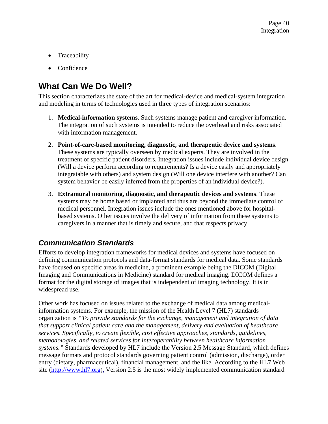- Traceability
- Confidence

# **What Can We Do Well?**

This section characterizes the state of the art for medical-device and medical-system integration and modeling in terms of technologies used in three types of integration scenarios:

- 1. **Medical-information systems**. Such systems manage patient and caregiver information. The integration of such systems is intended to reduce the overhead and risks associated with information management.
- 2. **Point-of-care-based monitoring, diagnostic, and therapeutic device and systems**. These systems are typically overseen by medical experts. They are involved in the treatment of specific patient disorders. Integration issues include individual device design (Will a device perform according to requirements? Is a device easily and appropriately integratable with others) and system design (Will one device interfere with another? Can system behavior be easily inferred from the properties of an individual device?).
- 3. **Extramural monitoring, diagnostic, and therapeutic devices and systems**. These systems may be home based or implanted and thus are beyond the immediate control of medical personnel. Integration issues include the ones mentioned above for hospitalbased systems. Other issues involve the delivery of information from these systems to caregivers in a manner that is timely and secure, and that respects privacy.

### *Communication Standards*

Efforts to develop integration frameworks for medical devices and systems have focused on defining communication protocols and data-format standards for medical data. Some standards have focused on specific areas in medicine, a prominent example being the DICOM (Digital Imaging and Communications in Medicine) standard for medical imaging. DICOM defines a format for the digital storage of images that is independent of imaging technology. It is in widespread use.

Other work has focused on issues related to the exchange of medical data among medicalinformation systems. For example, the mission of the Health Level 7 (HL7) standards organization is *"To provide standards for the exchange, management and integration of data that support clinical patient care and the management, delivery and evaluation of healthcare services. Specifically, to create flexible, cost effective approaches, standards, guidelines, methodologies, and related services for interoperability between healthcare information systems."* Standards developed by HL7 include the Version 2.5 Message Standard, which defines message formats and protocol standards governing patient control (admission, discharge), order entry (dietary, pharmaceutical), financial management, and the like. According to the HL7 Web site (http://www.hl7.org)**,** Version 2.5 is the most widely implemented communication standard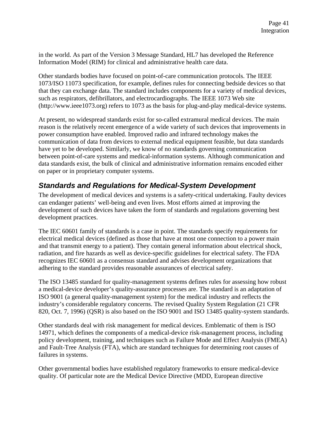in the world. As part of the Version 3 Message Standard, HL7 has developed the Reference Information Model (RIM) for clinical and administrative health care data.

Other standards bodies have focused on point-of-care communication protocols. The IEEE 1073/ISO 11073 specification, for example, defines rules for connecting bedside devices so that that they can exchange data. The standard includes components for a variety of medical devices, such as respirators, defibrillators, and electrocardiographs. The IEEE 1073 Web site (http://www.ieee1073.org) refers to 1073 as the basis for plug-and-play medical-device systems.

At present, no widespread standards exist for so-called extramural medical devices. The main reason is the relatively recent emergence of a wide variety of such devices that improvements in power consumption have enabled. Improved radio and infrared technology makes the communication of data from devices to external medical equipment feasible, but data standards have yet to be developed. Similarly, we know of no standards governing communication between point-of-care systems and medical-information systems. Although communication and data standards exist, the bulk of clinical and administrative information remains encoded either on paper or in proprietary computer systems.

#### *Standards and Regulations for Medical-System Development*

The development of medical devices and systems is a safety-critical undertaking. Faulty devices can endanger patients' well-being and even lives. Most efforts aimed at improving the development of such devices have taken the form of standards and regulations governing best development practices.

The IEC 60601 family of standards is a case in point. The standards specify requirements for electrical medical devices (defined as those that have at most one connection to a power main and that transmit energy to a patient). They contain general information about electrical shock, radiation, and fire hazards as well as device-specific guidelines for electrical safety. The FDA recognizes IEC 60601 as a consensus standard and advises development organizations that adhering to the standard provides reasonable assurances of electrical safety.

The ISO 13485 standard for quality-management systems defines rules for assessing how robust a medical-device developer's quality-assurance processes are. The standard is an adaptation of ISO 9001 (a general quality-management system) for the medical industry and reflects the industry's considerable regulatory concerns. The revised Quality System Regulation (21 CFR 820, Oct. 7, 1996) (QSR) is also based on the ISO 9001 and ISO 13485 quality-system standards.

Other standards deal with risk management for medical devices. Emblematic of them is ISO 14971, which defines the components of a medical-device risk-management process, including policy development, training, and techniques such as Failure Mode and Effect Analysis (FMEA) and Fault-Tree Analysis (FTA), which are standard techniques for determining root causes of failures in systems.

Other governmental bodies have established regulatory frameworks to ensure medical-device quality. Of particular note are the Medical Device Directive (MDD, European directive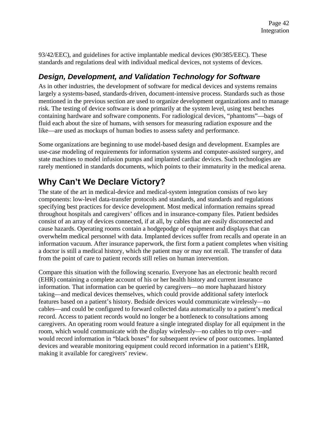93/42/EEC), and guidelines for active implantable medical devices (90/385/EEC). These standards and regulations deal with individual medical devices, not systems of devices.

### *Design, Development, and Validation Technology for Software*

As in other industries, the development of software for medical devices and systems remains largely a systems-based, standards-driven, document-intensive process. Standards such as those mentioned in the previous section are used to organize development organizations and to manage risk. The testing of device software is done primarily at the system level, using test benches containing hardware and software components. For radiological devices, "phantoms"—bags of fluid each about the size of humans, with sensors for measuring radiation exposure and the like—are used as mockups of human bodies to assess safety and performance.

Some organizations are beginning to use model-based design and development. Examples are use-case modeling of requirements for information systems and computer-assisted surgery, and state machines to model infusion pumps and implanted cardiac devices. Such technologies are rarely mentioned in standards documents, which points to their immaturity in the medical arena.

# **Why Can't We Declare Victory?**

The state of the art in medical-device and medical-system integration consists of two key components: low-level data-transfer protocols and standards, and standards and regulations specifying best practices for device development. Most medical information remains spread throughout hospitals and caregivers' offices and in insurance-company files. Patient bedsides consist of an array of devices connected, if at all, by cables that are easily disconnected and cause hazards. Operating rooms contain a hodgepodge of equipment and displays that can overwhelm medical personnel with data. Implanted devices suffer from recalls and operate in an information vacuum. After insurance paperwork, the first form a patient completes when visiting a doctor is still a medical history, which the patient may or may not recall. The transfer of data from the point of care to patient records still relies on human intervention.

Compare this situation with the following scenario. Everyone has an electronic health record (EHR) containing a complete account of his or her health history and current insurance information. That information can be queried by caregivers—no more haphazard history taking—and medical devices themselves, which could provide additional safety interlock features based on a patient's history. Bedside devices would communicate wirelessly—no cables—and could be configured to forward collected data automatically to a patient's medical record. Access to patient records would no longer be a bottleneck to consultations among caregivers. An operating room would feature a single integrated display for all equipment in the room, which would communicate with the display wirelessly—no cables to trip over—and would record information in "black boxes" for subsequent review of poor outcomes. Implanted devices and wearable monitoring equipment could record information in a patient's EHR, making it available for caregivers' review.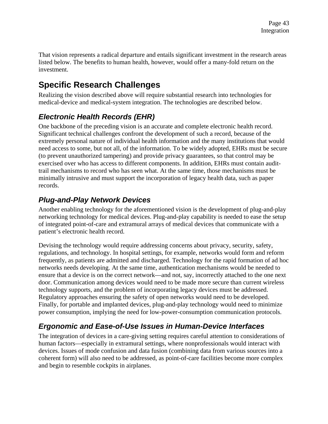That vision represents a radical departure and entails significant investment in the research areas listed below. The benefits to human health, however, would offer a many-fold return on the investment.

## **Specific Research Challenges**

Realizing the vision described above will require substantial research into technologies for medical-device and medical-system integration. The technologies are described below.

## *Electronic Health Records (EHR)*

One backbone of the preceding vision is an accurate and complete electronic health record. Significant technical challenges confront the development of such a record, because of the extremely personal nature of individual health information and the many institutions that would need access to some, but not all, of the information. To be widely adopted, EHRs must be secure (to prevent unauthorized tampering) and provide privacy guarantees, so that control may be exercised over who has access to different components. In addition, EHRs must contain audittrail mechanisms to record who has seen what. At the same time, those mechanisms must be minimally intrusive and must support the incorporation of legacy health data, such as paper records.

### *Plug-and-Play Network Devices*

Another enabling technology for the aforementioned vision is the development of plug-and-play networking technology for medical devices. Plug-and-play capability is needed to ease the setup of integrated point-of-care and extramural arrays of medical devices that communicate with a patient's electronic health record.

Devising the technology would require addressing concerns about privacy, security, safety, regulations, and technology. In hospital settings, for example, networks would form and reform frequently, as patients are admitted and discharged. Technology for the rapid formation of ad hoc networks needs developing. At the same time, authentication mechanisms would be needed to ensure that a device is on the correct network—and not, say, incorrectly attached to the one next door. Communication among devices would need to be made more secure than current wireless technology supports, and the problem of incorporating legacy devices must be addressed. Regulatory approaches ensuring the safety of open networks would need to be developed. Finally, for portable and implanted devices, plug-and-play technology would need to minimize power consumption, implying the need for low-power-consumption communication protocols.

## *Ergonomic and Ease-of-Use Issues in Human-Device Interfaces*

The integration of devices in a care-giving setting requires careful attention to considerations of human factors—especially in extramural settings, where nonprofessionals would interact with devices. Issues of mode confusion and data fusion (combining data from various sources into a coherent form) will also need to be addressed, as point-of-care facilities become more complex and begin to resemble cockpits in airplanes.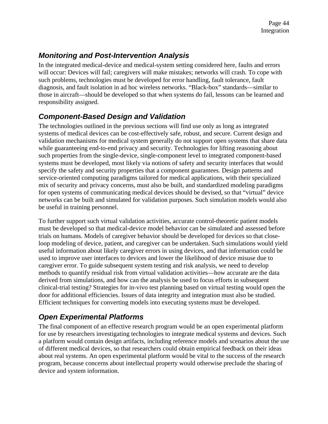### *Monitoring and Post-Intervention Analysis*

In the integrated medical-device and medical-system setting considered here, faults and errors will occur: Devices will fail; caregivers will make mistakes; networks will crash. To cope with such problems, technologies must be developed for error handling, fault tolerance, fault diagnosis, and fault isolation in ad hoc wireless networks. "Black-box" standards—similar to those in aircraft—should be developed so that when systems do fail, lessons can be learned and responsibility assigned.

#### *Component-Based Design and Validation*

The technologies outlined in the previous sections will find use only as long as integrated systems of medical devices can be cost-effectively safe, robust, and secure. Current design and validation mechanisms for medical system generally do not support open systems that share data while guaranteeing end-to-end privacy and security. Technologies for lifting reasoning about such properties from the single-device, single-component level to integrated component-based systems must be developed, most likely via notions of safety and security interfaces that would specify the safety and security properties that a component guarantees. Design patterns and service-oriented computing paradigms tailored for medical applications, with their specialized mix of security and privacy concerns, must also be built, and standardized modeling paradigms for open systems of communicating medical devices should be devised, so that "virtual" device networks can be built and simulated for validation purposes. Such simulation models would also be useful in training personnel.

To further support such virtual validation activities, accurate control-theoretic patient models must be developed so that medical-device model behavior can be simulated and assessed before trials on humans. Models of caregiver behavior should be developed for devices so that closeloop modeling of device, patient, and caregiver can be undertaken. Such simulations would yield useful information about likely caregiver errors in using devices, and that information could be used to improve user interfaces to devices and lower the likelihood of device misuse due to caregiver error. To guide subsequent system testing and risk analysis, we need to develop methods to quantify residual risk from virtual validation activities—how accurate are the data derived from simulations, and how can the analysis be used to focus efforts in subsequent clinical-trial testing? Strategies for in-vivo test planning based on virtual testing would open the door for additional efficiencies. Issues of data integrity and integration must also be studied. Efficient techniques for converting models into executing systems must be developed.

### *Open Experimental Platforms*

The final component of an effective research program would be an open experimental platform for use by researchers investigating technologies to integrate medical systems and devices. Such a platform would contain design artifacts, including reference models and scenarios about the use of different medical devices, so that researchers could obtain empirical feedback on their ideas about real systems. An open experimental platform would be vital to the success of the research program, because concerns about intellectual property would otherwise preclude the sharing of device and system information.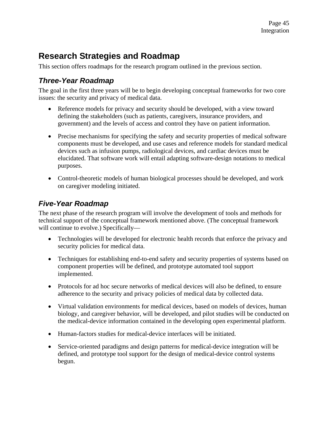## **Research Strategies and Roadmap**

This section offers roadmaps for the research program outlined in the previous section.

#### *Three-Year Roadmap*

The goal in the first three years will be to begin developing conceptual frameworks for two core issues: the security and privacy of medical data.

- Reference models for privacy and security should be developed, with a view toward defining the stakeholders (such as patients, caregivers, insurance providers, and government) and the levels of access and control they have on patient information.
- Precise mechanisms for specifying the safety and security properties of medical software components must be developed, and use cases and reference models for standard medical devices such as infusion pumps, radiological devices, and cardiac devices must be elucidated. That software work will entail adapting software-design notations to medical purposes.
- Control-theoretic models of human biological processes should be developed, and work on caregiver modeling initiated.

#### *Five-Year Roadmap*

The next phase of the research program will involve the development of tools and methods for technical support of the conceptual framework mentioned above. (The conceptual framework will continue to evolve.) Specifically—

- Technologies will be developed for electronic health records that enforce the privacy and security policies for medical data.
- Techniques for establishing end-to-end safety and security properties of systems based on component properties will be defined, and prototype automated tool support implemented.
- Protocols for ad hoc secure networks of medical devices will also be defined, to ensure adherence to the security and privacy policies of medical data by collected data.
- Virtual validation environments for medical devices, based on models of devices, human biology, and caregiver behavior, will be developed, and pilot studies will be conducted on the medical-device information contained in the developing open experimental platform.
- Human-factors studies for medical-device interfaces will be initiated.
- Service-oriented paradigms and design patterns for medical-device integration will be defined, and prototype tool support for the design of medical-device control systems begun.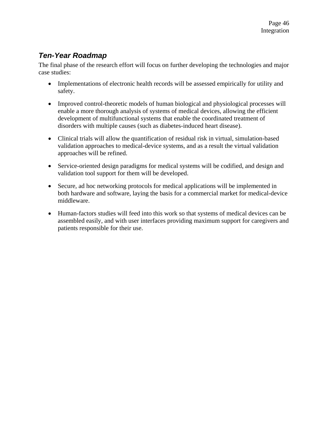#### *Ten-Year Roadmap*

The final phase of the research effort will focus on further developing the technologies and major case studies:

- Implementations of electronic health records will be assessed empirically for utility and safety.
- Improved control-theoretic models of human biological and physiological processes will enable a more thorough analysis of systems of medical devices, allowing the efficient development of multifunctional systems that enable the coordinated treatment of disorders with multiple causes (such as diabetes-induced heart disease).
- Clinical trials will allow the quantification of residual risk in virtual, simulation-based validation approaches to medical-device systems, and as a result the virtual validation approaches will be refined.
- Service-oriented design paradigms for medical systems will be codified, and design and validation tool support for them will be developed.
- Secure, ad hoc networking protocols for medical applications will be implemented in both hardware and software, laying the basis for a commercial market for medical-device middleware.
- Human-factors studies will feed into this work so that systems of medical devices can be assembled easily, and with user interfaces providing maximum support for caregivers and patients responsible for their use.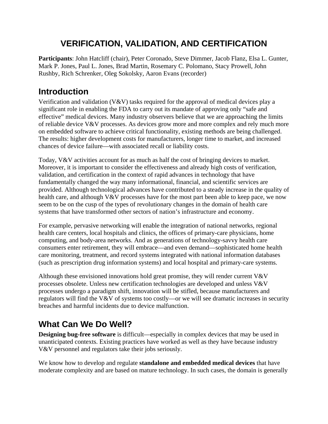## **VERIFICATION, VALIDATION, AND CERTIFICATION**

**Participants**: John Hatcliff (chair), Peter Coronado, Steve Dimmer, Jacob Flanz, Elsa L. Gunter, Mark P. Jones, Paul L. Jones, Brad Martin, Rosemary C. Polomano, Stacy Prowell, John Rushby, Rich Schrenker, Oleg Sokolsky, Aaron Evans (recorder)

## **Introduction**

Verification and validation (V&V) tasks required for the approval of medical devices play a significant role in enabling the FDA to carry out its mandate of approving only "safe and effective" medical devices. Many industry observers believe that we are approaching the limits of reliable device V&V processes. As devices grow more and more complex and rely much more on embedded software to achieve critical functionality, existing methods are being challenged. The results: higher development costs for manufacturers, longer time to market, and increased chances of device failure—with associated recall or liability costs.

Today, V&V activities account for as much as half the cost of bringing devices to market. Moreover, it is important to consider the effectiveness and already high costs of verification, validation, and certification in the context of rapid advances in technology that have fundamentally changed the way many informational, financial, and scientific services are provided. Although technological advances have contributed to a steady increase in the quality of health care, and although V&V processes have for the most part been able to keep pace, we now seem to be on the cusp of the types of revolutionary changes in the domain of health care systems that have transformed other sectors of nation's infrastructure and economy.

For example, pervasive networking will enable the integration of national networks, regional health care centers, local hospitals and clinics, the offices of primary-care physicians, home computing, and body-area networks. And as generations of technology-savvy health care consumers enter retirement, they will embrace—and even demand—sophisticated home health care monitoring, treatment, and record systems integrated with national information databases (such as prescription drug information systems) and local hospital and primary-care systems.

Although these envisioned innovations hold great promise, they will render current V&V processes obsolete. Unless new certification technologies are developed and unless V&V processes undergo a paradigm shift, innovation will be stifled, because manufacturers and regulators will find the V&V of systems too costly—or we will see dramatic increases in security breaches and harmful incidents due to device malfunction.

## **What Can We Do Well?**

**Designing bug-free software** is difficult—especially in complex devices that may be used in unanticipated contexts. Existing practices have worked as well as they have because industry V&V personnel and regulators take their jobs seriously.

We know how to develop and regulate **standalone and embedded medical devices** that have moderate complexity and are based on mature technology. In such cases, the domain is generally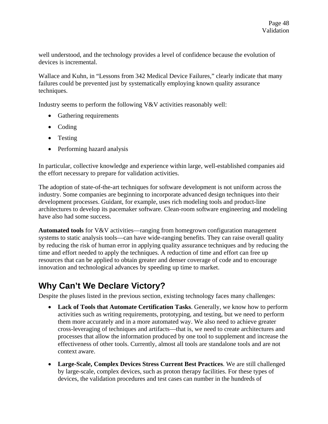well understood, and the technology provides a level of confidence because the evolution of devices is incremental.

Wallace and Kuhn, in "Lessons from 342 Medical Device Failures," clearly indicate that many failures could be prevented just by systematically employing known quality assurance techniques.

Industry seems to perform the following V&V activities reasonably well:

- Gathering requirements
- Coding
- Testing
- Performing hazard analysis

In particular, collective knowledge and experience within large, well-established companies aid the effort necessary to prepare for validation activities.

The adoption of state-of-the-art techniques for software development is not uniform across the industry. Some companies are beginning to incorporate advanced design techniques into their development processes. Guidant, for example, uses rich modeling tools and product-line architectures to develop its pacemaker software. Clean-room software engineering and modeling have also had some success.

**Automated tools** for V&V activities—ranging from homegrown configuration management systems to static analysis tools—can have wide-ranging benefits. They can raise overall quality by reducing the risk of human error in applying quality assurance techniques and by reducing the time and effort needed to apply the techniques. A reduction of time and effort can free up resources that can be applied to obtain greater and denser coverage of code and to encourage innovation and technological advances by speeding up time to market.

## **Why Can't We Declare Victory?**

Despite the pluses listed in the previous section, existing technology faces many challenges:

- **Lack of Tools that Automate Certification Tasks**. Generally, we know how to perform activities such as writing requirements, prototyping, and testing, but we need to perform them more accurately and in a more automated way. We also need to achieve greater cross-leveraging of techniques and artifacts—that is, we need to create architectures and processes that allow the information produced by one tool to supplement and increase the effectiveness of other tools. Currently, almost all tools are standalone tools and are not context aware.
- **Large-Scale, Complex Devices Stress Current Best Practices**. We are still challenged by large-scale, complex devices, such as proton therapy facilities. For these types of devices, the validation procedures and test cases can number in the hundreds of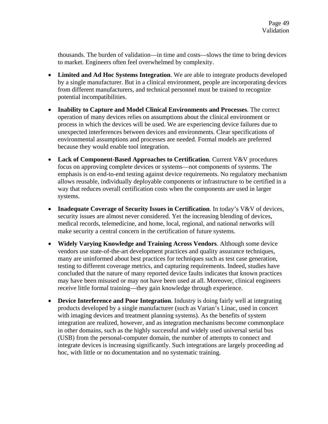thousands. The burden of validation—in time and costs—slows the time to bring devices to market. Engineers often feel overwhelmed by complexity.

- **Limited and Ad Hoc Systems Integration**. We are able to integrate products developed by a single manufacturer. But in a clinical environment, people are incorporating devices from different manufacturers, and technical personnel must be trained to recognize potential incompatibilities.
- **Inability to Capture and Model Clinical Environments and Processes**. The correct operation of many devices relies on assumptions about the clinical environment or process in which the devices will be used. We are experiencing device failures due to unexpected interferences between devices and environments. Clear specifications of environmental assumptions and processes are needed. Formal models are preferred because they would enable tool integration.
- **Lack of Component-Based Approaches to Certification**. Current V&V procedures focus on approving complete devices or systems—not components of systems. The emphasis is on end-to-end testing against device requirements. No regulatory mechanism allows reusable, individually deployable components or infrastructure to be certified in a way that reduces overall certification costs when the components are used in larger systems.
- **Inadequate Coverage of Security Issues in Certification**. In today's V&V of devices, security issues are almost never considered. Yet the increasing blending of devices, medical records, telemedicine, and home, local, regional, and national networks will make security a central concern in the certification of future systems.
- **Widely Varying Knowledge and Training Across Vendors**. Although some device vendors use state-of-the-art development practices and quality assurance techniques, many are uninformed about best practices for techniques such as test case generation, testing to different coverage metrics, and capturing requirements. Indeed, studies have concluded that the nature of many reported device faults indicates that known practices may have been misused or may not have been used at all. Moreover, clinical engineers receive little formal training—they gain knowledge through experience.
- **Device Interference and Poor Integration**. Industry is doing fairly well at integrating products developed by a single manufacturer (such as Varian's Linac, used in concert with imaging devices and treatment planning systems). As the benefits of system integration are realized, however, and as integration mechanisms become commonplace in other domains, such as the highly successful and widely used universal serial bus (USB) from the personal-computer domain, the number of attempts to connect and integrate devices is increasing significantly. Such integrations are largely proceeding ad hoc, with little or no documentation and no systematic training.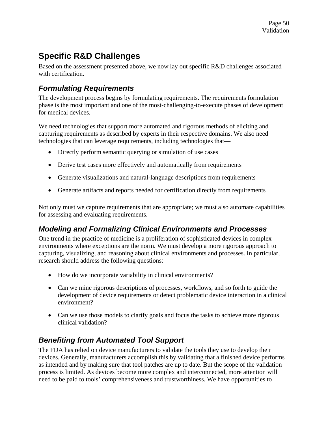## **Specific R&D Challenges**

Based on the assessment presented above, we now lay out specific R&D challenges associated with certification.

#### *Formulating Requirements*

The development process begins by formulating requirements. The requirements formulation phase is the most important and one of the most-challenging-to-execute phases of development for medical devices.

We need technologies that support more automated and rigorous methods of eliciting and capturing requirements as described by experts in their respective domains. We also need technologies that can leverage requirements, including technologies that—

- Directly perform semantic querying or simulation of use cases
- Derive test cases more effectively and automatically from requirements
- Generate visualizations and natural-language descriptions from requirements
- Generate artifacts and reports needed for certification directly from requirements

Not only must we capture requirements that are appropriate; we must also automate capabilities for assessing and evaluating requirements.

#### *Modeling and Formalizing Clinical Environments and Processes*

One trend in the practice of medicine is a proliferation of sophisticated devices in complex environments where exceptions are the norm. We must develop a more rigorous approach to capturing, visualizing, and reasoning about clinical environments and processes. In particular, research should address the following questions:

- How do we incorporate variability in clinical environments?
- Can we mine rigorous descriptions of processes, workflows, and so forth to guide the development of device requirements or detect problematic device interaction in a clinical environment?
- Can we use those models to clarify goals and focus the tasks to achieve more rigorous clinical validation?

#### *Benefiting from Automated Tool Support*

The FDA has relied on device manufacturers to validate the tools they use to develop their devices. Generally, manufacturers accomplish this by validating that a finished device performs as intended and by making sure that tool patches are up to date. But the scope of the validation process is limited. As devices become more complex and interconnected, more attention will need to be paid to tools' comprehensiveness and trustworthiness. We have opportunities to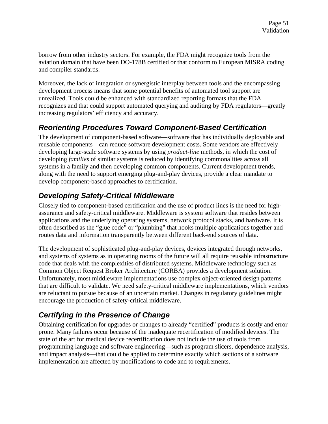borrow from other industry sectors. For example, the FDA might recognize tools from the aviation domain that have been DO-178B certified or that conform to European MISRA coding and compiler standards.

Moreover, the lack of integration or synergistic interplay between tools and the encompassing development process means that some potential benefits of automated tool support are unrealized. Tools could be enhanced with standardized reporting formats that the FDA recognizes and that could support automated querying and auditing by FDA regulators—greatly increasing regulators' efficiency and accuracy.

#### *Reorienting Procedures Toward Component-Based Certification*

The development of component-based software—software that has individually deployable and reusable components—can reduce software development costs. Some vendors are effectively developing large-scale software systems by using *product-line* methods, in which the cost of developing *families* of similar systems is reduced by identifying commonalities across all systems in a family and then developing common components. Current development trends, along with the need to support emerging plug-and-play devices, provide a clear mandate to develop component-based approaches to certification.

#### *Developing Safety-Critical Middleware*

Closely tied to component-based certification and the use of product lines is the need for highassurance and safety-critical middleware. Middleware is system software that resides between applications and the underlying operating systems, network protocol stacks, and hardware. It is often described as the "glue code" or "plumbing" that hooks multiple applications together and routes data and information transparently between different back-end sources of data.

The development of sophisticated plug-and-play devices, devices integrated through networks, and systems of systems as in operating rooms of the future will all require reusable infrastructure code that deals with the complexities of distributed systems. Middleware technology such as Common Object Request Broker Architecture (CORBA) provides a development solution. Unfortunately, most middleware implementations use complex object-oriented design patterns that are difficult to validate. We need safety-critical middleware implementations, which vendors are reluctant to pursue because of an uncertain market. Changes in regulatory guidelines might encourage the production of safety-critical middleware.

### *Certifying in the Presence of Change*

Obtaining certification for upgrades or changes to already "certified" products is costly and error prone. Many failures occur because of the inadequate recertification of modified devices. The state of the art for medical device recertification does not include the use of tools from programming language and software engineering—such as program slicers, dependence analysis, and impact analysis—that could be applied to determine exactly which sections of a software implementation are affected by modifications to code and to requirements.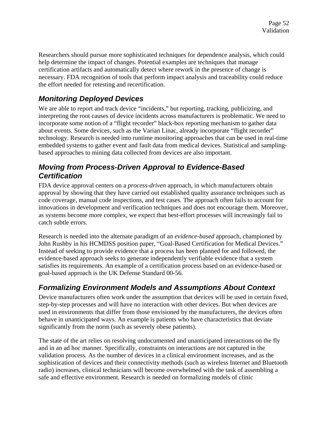Researchers should pursue more sophisticated techniques for dependence analysis, which could help determine the impact of changes. Potential examples are techniques that manage certification artifacts and automatically detect where rework in the presence of change is necessary. FDA recognition of tools that perform impact analysis and traceability could reduce the effort needed for retesting and recertification.

#### *Monitoring Deployed Devices*

We are able to report and track device "incidents," but reporting, tracking, publicizing, and interpreting the root causes of device incidents across manufacturers is problematic. We need to incorporate some notion of a "flight recorder" black-box reporting mechanism to gather data about events. Some devices, such as the Varian Linac, already incorporate "flight recorder" technology. Research is needed into runtime monitoring approaches that can be used in real-time embedded systems to gather event and fault data from medical devices. Statistical and samplingbased approaches to mining data collected from devices are also important.

#### *Moving from Process-Driven Approval to Evidence-Based Certification*

FDA device approval centers on a *process-driven* approach, in which manufacturers obtain approval by showing that they have carried out established quality assurance techniques such as code coverage, manual code inspections, and test cases. The approach often fails to account for innovations in development and verification techniques and does not encourage them. Moreover, as systems become more complex, we expect that best-effort processes will increasingly fail to catch subtle errors.

Research is needed into the alternate paradigm of an *evidence-based* approach, championed by John Rushby in his HCMDSS position paper, "Goal-Based Certification for Medical Devices." Instead of seeking to provide evidence that a process has been planned for and followed, the evidence-based approach seeks to generate independently verifiable evidence that a system satisfies its requirements. An example of a certification process based on an evidence-based or goal-based approach is the UK Defense Standard 00-56.

## *Formalizing Environment Models and Assumptions About Context*

Device manufacturers often work under the assumption that devices will be used in certain fixed, step-by-step processes and will have no interaction with other devices. But when devices are used in environments that differ from those envisioned by the manufacturers, the devices often behave in unanticipated ways. An example is patients who have characteristics that deviate significantly from the norm (such as severely obese patients).

The state of the art relies on resolving undocumented and unanticipated interactions on the fly and in an ad hoc manner. Specifically, constraints on interactions are not captured in the validation process. As the number of devices in a clinical environment increases, and as the sophistication of devices and their connectivity methods (such as wireless Internet and Bluetooth radio) increases, clinical technicians will become overwhelmed with the task of assembling a safe and effective environment. Research is needed on formalizing models of clinic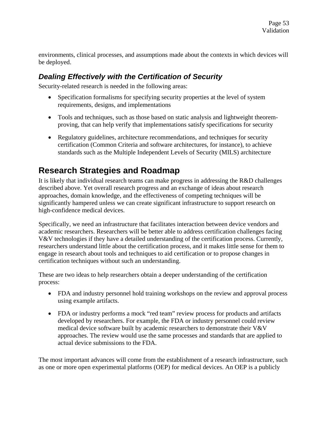environments, clinical processes, and assumptions made about the contexts in which devices will be deployed.

#### *Dealing Effectively with the Certification of Security*

Security-related research is needed in the following areas:

- Specification formalisms for specifying security properties at the level of system requirements, designs, and implementations
- Tools and techniques, such as those based on static analysis and lightweight theoremproving, that can help verify that implementations satisfy specifications for security
- Regulatory guidelines, architecture recommendations, and techniques for security certification (Common Criteria and software architectures, for instance), to achieve standards such as the Multiple Independent Levels of Security (MILS) architecture

## **Research Strategies and Roadmap**

It is likely that individual research teams can make progress in addressing the R&D challenges described above. Yet overall research progress and an exchange of ideas about research approaches, domain knowledge, and the effectiveness of competing techniques will be significantly hampered unless we can create significant infrastructure to support research on high-confidence medical devices.

Specifically, we need an infrastructure that facilitates interaction between device vendors and academic researchers. Researchers will be better able to address certification challenges facing V&V technologies if they have a detailed understanding of the certification process. Currently, researchers understand little about the certification process, and it makes little sense for them to engage in research about tools and techniques to aid certification or to propose changes in certification techniques without such an understanding.

These are two ideas to help researchers obtain a deeper understanding of the certification process:

- FDA and industry personnel hold training workshops on the review and approval process using example artifacts.
- FDA or industry performs a mock "red team" review process for products and artifacts developed by researchers. For example, the FDA or industry personnel could review medical device software built by academic researchers to demonstrate their V&V approaches. The review would use the same processes and standards that are applied to actual device submissions to the FDA.

The most important advances will come from the establishment of a research infrastructure, such as one or more open experimental platforms (OEP) for medical devices. An OEP is a publicly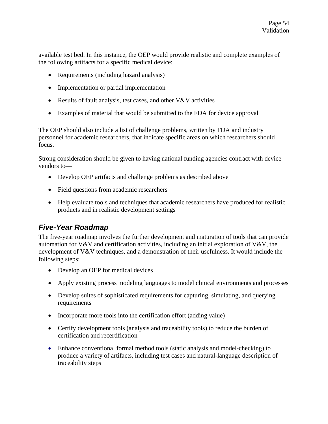available test bed. In this instance, the OEP would provide realistic and complete examples of the following artifacts for a specific medical device:

- Requirements (including hazard analysis)
- Implementation or partial implementation
- Results of fault analysis, test cases, and other V&V activities
- Examples of material that would be submitted to the FDA for device approval

The OEP should also include a list of challenge problems, written by FDA and industry personnel for academic researchers, that indicate specific areas on which researchers should focus.

Strong consideration should be given to having national funding agencies contract with device vendors to—

- Develop OEP artifacts and challenge problems as described above
- Field questions from academic researchers
- Help evaluate tools and techniques that academic researchers have produced for realistic products and in realistic development settings

#### *Five-Year Roadmap*

The five-year roadmap involves the further development and maturation of tools that can provide automation for V&V and certification activities, including an initial exploration of V&V, the development of V&V techniques, and a demonstration of their usefulness. It would include the following steps:

- Develop an OEP for medical devices
- Apply existing process modeling languages to model clinical environments and processes
- Develop suites of sophisticated requirements for capturing, simulating, and querying requirements
- Incorporate more tools into the certification effort (adding value)
- Certify development tools (analysis and traceability tools) to reduce the burden of certification and recertification
- Enhance conventional formal method tools (static analysis and model-checking) to produce a variety of artifacts, including test cases and natural-language description of traceability steps